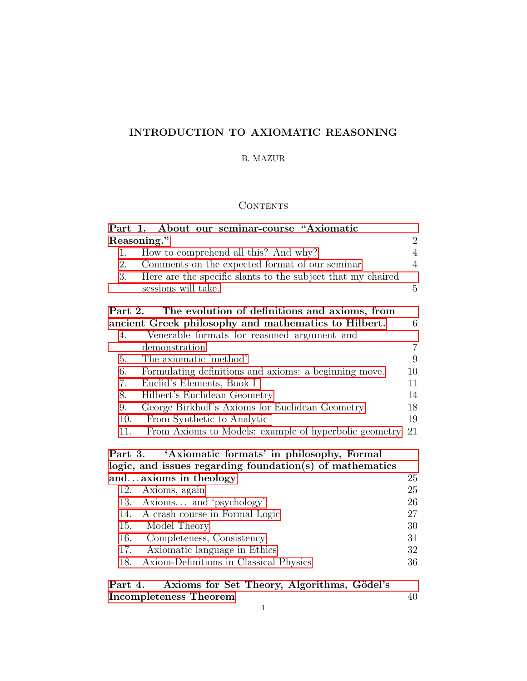# INTRODUCTION TO AXIOMATIC REASONING

# B. MAZUR

# **CONTENTS**

| Part 1. About our seminar-course "Axiomatic                                              |                |
|------------------------------------------------------------------------------------------|----------------|
| Reasoning."                                                                              | $\overline{2}$ |
| 1.<br>How to comprehend all this? And why?                                               | $\overline{4}$ |
| 2.<br>Comments on the expected format of our seminar                                     | $\overline{4}$ |
| Here are the specific slants to the subject that my chaired<br>3.<br>sessions will take. | 5              |
| The evolution of definitions and axioms, from<br>Part 2.                                 |                |
| ancient Greek philosophy and mathematics to Hilbert.                                     | 6              |
| Venerable formats for reasoned argument and<br>4.                                        |                |
| demonstration                                                                            | $\overline{7}$ |
| The axiomatic 'method'<br>5.                                                             | 9              |
| 6.<br>Formulating definitions and axioms: a beginning move.                              | 10             |
| 7.<br>Euclid's Elements, Book I                                                          | 11             |
| Hilbert's Euclidean Geometry<br>8.                                                       | 14             |
| 9.<br>George Birkhoff's Axioms for Euclidean Geometry                                    | 18             |
| 10.<br>From Synthetic to Analytic                                                        | 19             |
| From Axioms to Models: example of hyperbolic geometry<br>11.                             | 21             |
| Part 3. 'Axiomatic formats' in philosophy, Formal                                        |                |
| $logic, and issues regarding foundation(s) of mathematics$                               |                |
| andaxioms in theology                                                                    | 25             |
| Axioms, again<br>12.                                                                     | 25             |
| Axioms and 'psychology'<br>13.                                                           | 26             |
| A crash course in Formal Logic<br>14.                                                    | 27             |
| 15.<br>Model Theory                                                                      | 30             |
| Completeness, Consistency<br>16.                                                         | 31             |
| Axiomatic language in Ethics<br>17.                                                      | 32             |
| Axiom-Definitions in Classical Physics<br>18.                                            | 36             |
|                                                                                          |                |

# Part 4. Axioms for Set Theory, Algorithms, Gödel's [Incompleteness Theorem](#page-39-0) 40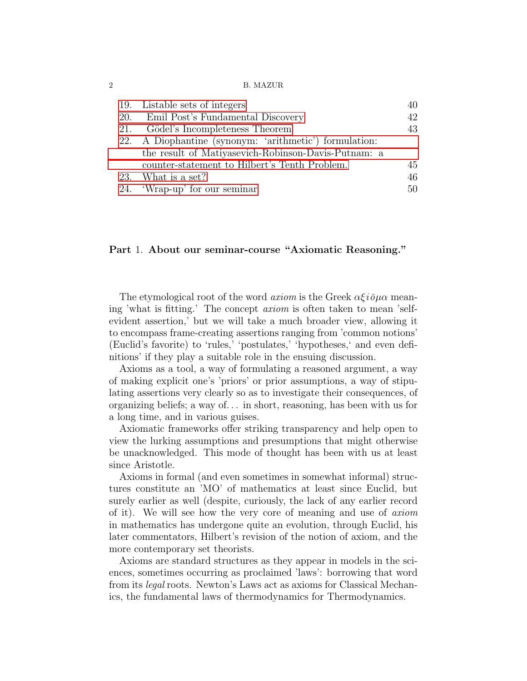| 19. Listable sets of integers                          | 40           |
|--------------------------------------------------------|--------------|
| 20. Emil Post's Fundamental Discovery                  | 42           |
| 21. Gödel's Incompleteness Theorem                     | 43           |
| 22. A Diophantine (synonym: 'arithmetic') formulation: |              |
| the result of Matiyasevich-Robinson-Davis-Putnam: a    |              |
| counter-statement to Hilbert's Tenth Problem.          | 45           |
| 23. What is a set?                                     | 46           |
| 24. 'Wrap-up' for our seminar                          | $50^{\circ}$ |

# <span id="page-1-0"></span>Part 1. About our seminar-course "Axiomatic Reasoning."

The etymological root of the word *axiom* is the Greek  $\alpha \xi i \bar{\sigma} \mu \alpha$  meaning 'what is fitting.' The concept axiom is often taken to mean 'selfevident assertion,' but we will take a much broader view, allowing it to encompass frame-creating assertions ranging from 'common notions' (Euclid's favorite) to 'rules,' 'postulates,' 'hypotheses,' and even definitions' if they play a suitable role in the ensuing discussion.

Axioms as a tool, a way of formulating a reasoned argument, a way of making explicit one's 'priors' or prior assumptions, a way of stipulating assertions very clearly so as to investigate their consequences, of organizing beliefs; a way of. . . in short, reasoning, has been with us for a long time, and in various guises.

Axiomatic frameworks offer striking transparency and help open to view the lurking assumptions and presumptions that might otherwise be unacknowledged. This mode of thought has been with us at least since Aristotle.

Axioms in formal (and even sometimes in somewhat informal) structures constitute an 'MO' of mathematics at least since Euclid, but surely earlier as well (despite, curiously, the lack of any earlier record of it). We will see how the very core of meaning and use of axiom in mathematics has undergone quite an evolution, through Euclid, his later commentators, Hilbert's revision of the notion of axiom, and the more contemporary set theorists.

Axioms are standard structures as they appear in models in the sciences, sometimes occurring as proclaimed 'laws': borrowing that word from its legal roots. Newton's Laws act as axioms for Classical Mechanics, the fundamental laws of thermodynamics for Thermodynamics.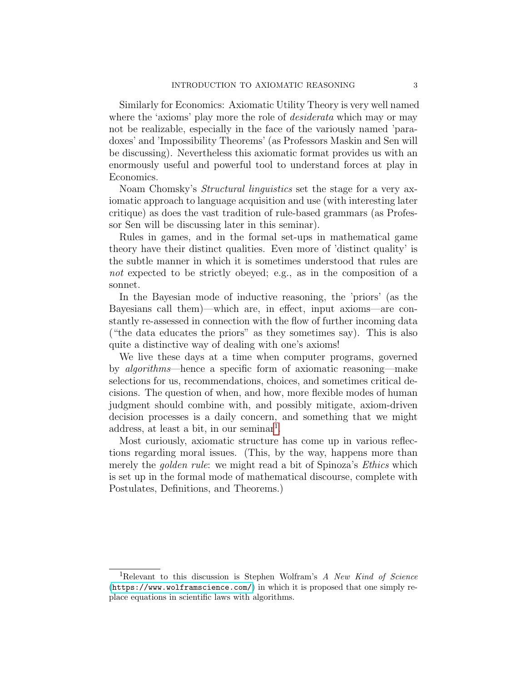Similarly for Economics: Axiomatic Utility Theory is very well named where the 'axioms' play more the role of *desiderata* which may or may not be realizable, especially in the face of the variously named 'paradoxes' and 'Impossibility Theorems' (as Professors Maskin and Sen will be discussing). Nevertheless this axiomatic format provides us with an enormously useful and powerful tool to understand forces at play in Economics.

Noam Chomsky's *Structural linguistics* set the stage for a very axiomatic approach to language acquisition and use (with interesting later critique) as does the vast tradition of rule-based grammars (as Professor Sen will be discussing later in this seminar).

Rules in games, and in the formal set-ups in mathematical game theory have their distinct qualities. Even more of 'distinct quality' is the subtle manner in which it is sometimes understood that rules are not expected to be strictly obeyed; e.g., as in the composition of a sonnet.

In the Bayesian mode of inductive reasoning, the 'priors' (as the Bayesians call them)—which are, in effect, input axioms—are constantly re-assessed in connection with the flow of further incoming data ("the data educates the priors" as they sometimes say). This is also quite a distinctive way of dealing with one's axioms!

We live these days at a time when computer programs, governed by algorithms—hence a specific form of axiomatic reasoning—make selections for us, recommendations, choices, and sometimes critical decisions. The question of when, and how, more flexible modes of human judgment should combine with, and possibly mitigate, axiom-driven decision processes is a daily concern, and something that we might address, at least a bit, in our seminar<sup>[1](#page-2-0)</sup>.

Most curiously, axiomatic structure has come up in various reflections regarding moral issues. (This, by the way, happens more than merely the *golden rule*: we might read a bit of Spinoza's *Ethics* which is set up in the formal mode of mathematical discourse, complete with Postulates, Definitions, and Theorems.)

<span id="page-2-0"></span><sup>&</sup>lt;sup>1</sup>Relevant to this discussion is Stephen Wolfram's A New Kind of Science (<https://www.wolframscience.com/>) in which it is proposed that one simply replace equations in scientific laws with algorithms.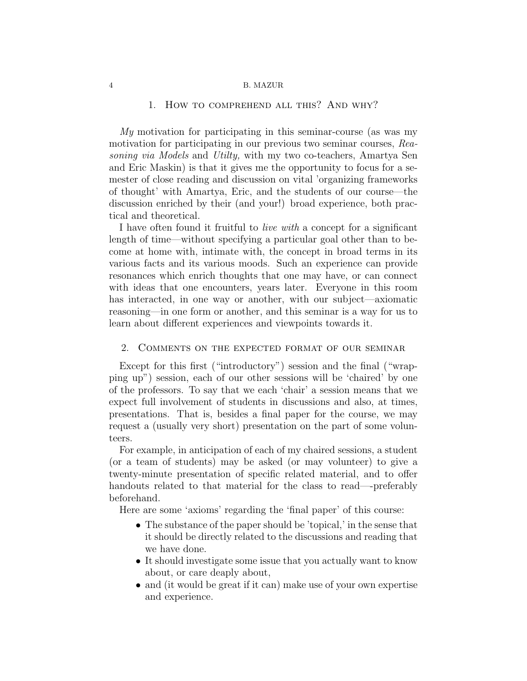# 1. How to comprehend all this? And why?

<span id="page-3-0"></span> $My$  motivation for participating in this seminar-course (as was my motivation for participating in our previous two seminar courses, Reasoning via Models and Utilty, with my two co-teachers, Amartya Sen and Eric Maskin) is that it gives me the opportunity to focus for a semester of close reading and discussion on vital 'organizing frameworks of thought' with Amartya, Eric, and the students of our course—the discussion enriched by their (and your!) broad experience, both practical and theoretical.

I have often found it fruitful to live with a concept for a significant length of time—without specifying a particular goal other than to become at home with, intimate with, the concept in broad terms in its various facts and its various moods. Such an experience can provide resonances which enrich thoughts that one may have, or can connect with ideas that one encounters, years later. Everyone in this room has interacted, in one way or another, with our subject—axiomatic reasoning—in one form or another, and this seminar is a way for us to learn about different experiences and viewpoints towards it.

## <span id="page-3-1"></span>2. Comments on the expected format of our seminar

Except for this first ("introductory") session and the final ("wrapping up") session, each of our other sessions will be 'chaired' by one of the professors. To say that we each 'chair' a session means that we expect full involvement of students in discussions and also, at times, presentations. That is, besides a final paper for the course, we may request a (usually very short) presentation on the part of some volunteers.

For example, in anticipation of each of my chaired sessions, a student (or a team of students) may be asked (or may volunteer) to give a twenty-minute presentation of specific related material, and to offer handouts related to that material for the class to read—-preferably beforehand.

Here are some 'axioms' regarding the 'final paper' of this course:

- The substance of the paper should be 'topical,' in the sense that it should be directly related to the discussions and reading that we have done.
- It should investigate some issue that you actually want to know about, or care deaply about,
- and (it would be great if it can) make use of your own expertise and experience.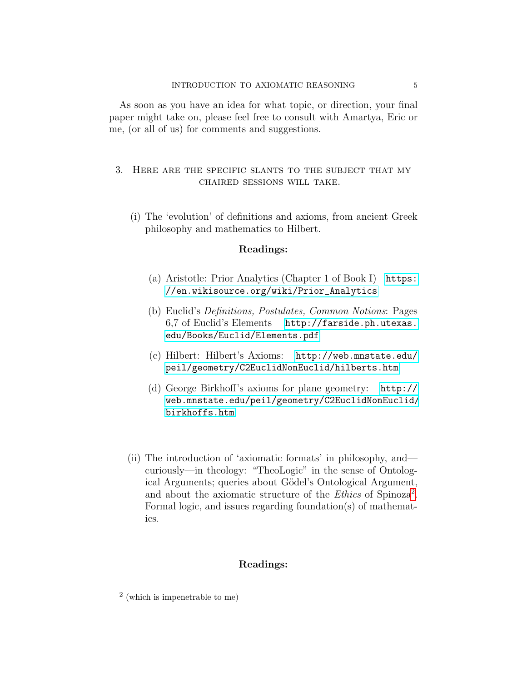As soon as you have an idea for what topic, or direction, your final paper might take on, please feel free to consult with Amartya, Eric or me, (or all of us) for comments and suggestions.

# <span id="page-4-0"></span>3. Here are the specific slants to the subject that my chaired sessions will take.

(i) The 'evolution' of definitions and axioms, from ancient Greek philosophy and mathematics to Hilbert.

## Readings:

- (a) Aristotle: Prior Analytics (Chapter 1 of Book I) [https:](https://en.wikisource.org/wiki/Prior_Analytics) [//en.wikisource.org/wiki/Prior\\_Analytics](https://en.wikisource.org/wiki/Prior_Analytics)
- (b) Euclid's Definitions, Postulates, Common Notions: Pages 6,7 of Euclid's Elements [http://farside.ph.utexas.]( http://farside.ph.utexas.edu/Books/Euclid/Elements.pdf) [edu/Books/Euclid/Elements.pdf]( http://farside.ph.utexas.edu/Books/Euclid/Elements.pdf)
- (c) Hilbert: Hilbert's Axioms: [http://web.mnstate.edu/](http://web.mnstate.edu/peil/geometry/C2EuclidNonEuclid/hilberts.htm) [peil/geometry/C2EuclidNonEuclid/hilberts.htm](http://web.mnstate.edu/peil/geometry/C2EuclidNonEuclid/hilberts.htm)
- (d) George Birkhoff's axioms for plane geometry: [http://](http://web.mnstate.edu/peil/geometry/C2EuclidNonEuclid/birkhoffs.htm) [web.mnstate.edu/peil/geometry/C2EuclidNonEuclid/](http://web.mnstate.edu/peil/geometry/C2EuclidNonEuclid/birkhoffs.htm) [birkhoffs.htm](http://web.mnstate.edu/peil/geometry/C2EuclidNonEuclid/birkhoffs.htm)
- (ii) The introduction of 'axiomatic formats' in philosophy, and curiously—in theology: "TheoLogic" in the sense of Ontological Arguments; queries about Gödel's Ontological Argument, and about the axiomatic structure of the *Ethics* of Spinoza<sup>[2](#page-4-1)</sup>. Formal logic, and issues regarding foundation(s) of mathematics.

### Readings:

<span id="page-4-1"></span><sup>2</sup> (which is impenetrable to me)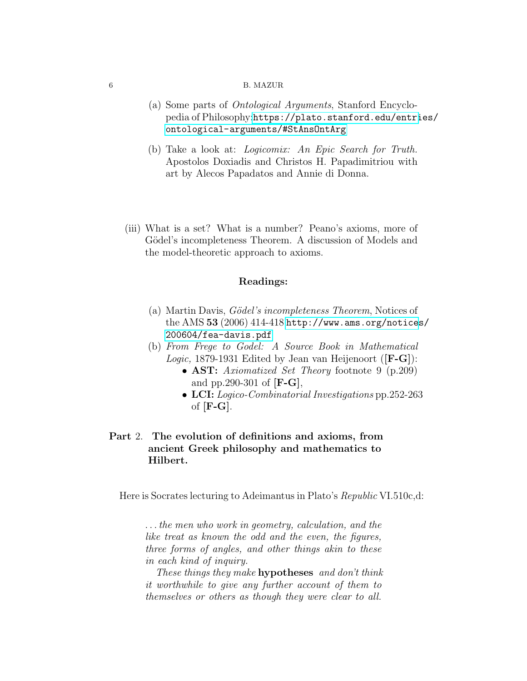- (a) Some parts of Ontological Arguments, Stanford Encyclopedia of Philosophy:[https://plato.stanford.edu/entri](https://plato.stanford.edu/entries/ontological-arguments/#StAnsOntArg)es/ [ontological-arguments/#StAnsOntArg](https://plato.stanford.edu/entries/ontological-arguments/#StAnsOntArg)
- (b) Take a look at: Logicomix: An Epic Search for Truth. Apostolos Doxiadis and Christos H. Papadimitriou with art by Alecos Papadatos and Annie di Donna.
- (iii) What is a set? What is a number? Peano's axioms, more of Gödel's incompleteness Theorem. A discussion of Models and the model-theoretic approach to axioms.

## Readings:

- (a) Martin Davis,  $G\ddot{\theta}del's\ incompleteness\ Theorem, Notice of$ the AMS  $53$  (2006) 414-418 [http://www.ams.org/notice](http://www.ams.org/notices/200604/fea-davis.pdf)s/ [200604/fea-davis.pdf](http://www.ams.org/notices/200604/fea-davis.pdf)
- (b) From Frege to Godel: A Source Book in Mathematical *Logic*, 1879-1931 Edited by Jean van Heijenoort ( $[F-G]$ ):
	- **AST:** Axiomatized Set Theory footnote 9 (p.209) and pp.290-301 of [F-G],
	- LCI: Logico-Combinatorial Investigations pp.252-263 of  $[**F-G**].$

# <span id="page-5-0"></span>Part 2. The evolution of definitions and axioms, from ancient Greek philosophy and mathematics to Hilbert.

Here is Socrates lecturing to Adeimantus in Plato's Republic VI.510c,d:

. . . the men who work in geometry, calculation, and the like treat as known the odd and the even, the figures, three forms of angles, and other things akin to these in each kind of inquiry.

These things they make **hypotheses** and don't think it worthwhile to give any further account of them to themselves or others as though they were clear to all.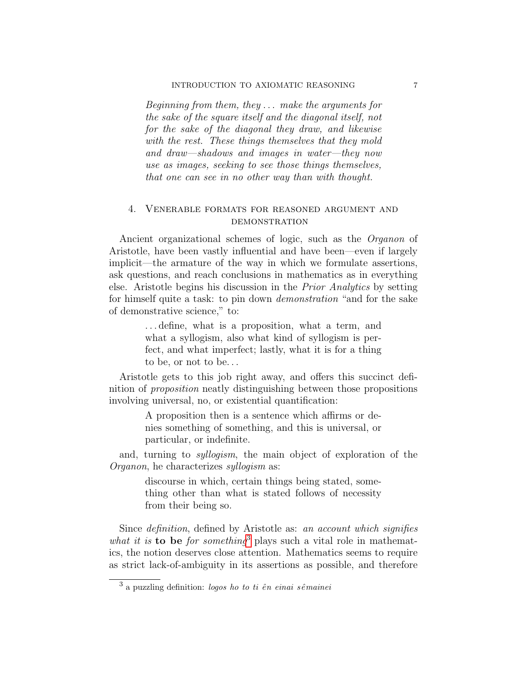Beginning from them, they . . . make the arguments for the sake of the square itself and the diagonal itself, not for the sake of the diagonal they draw, and likewise with the rest. These things themselves that they mold and draw—shadows and images in water—they now use as images, seeking to see those things themselves, that one can see in no other way than with thought.

# <span id="page-6-0"></span>4. Venerable formats for reasoned argument and **DEMONSTRATION**

Ancient organizational schemes of logic, such as the *Organon* of Aristotle, have been vastly influential and have been—even if largely implicit—the armature of the way in which we formulate assertions, ask questions, and reach conclusions in mathematics as in everything else. Aristotle begins his discussion in the Prior Analytics by setting for himself quite a task: to pin down demonstration "and for the sake of demonstrative science," to:

> . . . define, what is a proposition, what a term, and what a syllogism, also what kind of syllogism is perfect, and what imperfect; lastly, what it is for a thing to be, or not to be. . .

Aristotle gets to this job right away, and offers this succinct definition of proposition neatly distinguishing between those propositions involving universal, no, or existential quantification:

> A proposition then is a sentence which affirms or denies something of something, and this is universal, or particular, or indefinite.

and, turning to syllogism, the main object of exploration of the Organon, he characterizes syllogism as:

> discourse in which, certain things being stated, something other than what is stated follows of necessity from their being so.

Since *definition*, defined by Aristotle as: an account which signifies what it is to be for something<sup>[3](#page-6-1)</sup> plays such a vital role in mathematics, the notion deserves close attention. Mathematics seems to require as strict lack-of-ambiguity in its assertions as possible, and therefore

<span id="page-6-1"></span> $3$  a puzzling definition: logos ho to ti ên einai sêmainei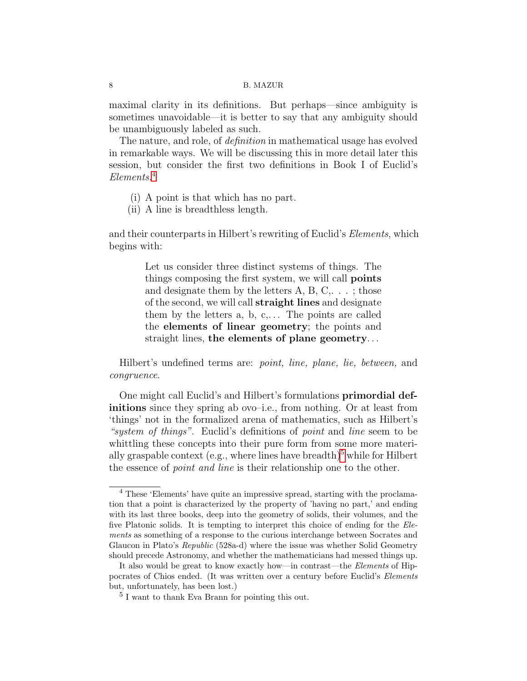maximal clarity in its definitions. But perhaps—since ambiguity is sometimes unavoidable—it is better to say that any ambiguity should be unambiguously labeled as such.

The nature, and role, of *definition* in mathematical usage has evolved in remarkable ways. We will be discussing this in more detail later this session, but consider the first two definitions in Book I of Euclid's Elements:<sup>[4](#page-7-0)</sup>

- (i) A point is that which has no part.
- (ii) A line is breadthless length.

and their counterparts in Hilbert's rewriting of Euclid's Elements, which begins with:

> Let us consider three distinct systems of things. The things composing the first system, we will call points and designate them by the letters  $A, B, C, \ldots$ ; those of the second, we will call straight lines and designate them by the letters a, b, c,... The points are called the elements of linear geometry; the points and straight lines, the elements of plane geometry...

Hilbert's undefined terms are: point, line, plane, lie, between, and congruence.

One might call Euclid's and Hilbert's formulations primordial definitions since they spring ab ovo–i.e., from nothing. Or at least from 'things' not in the formalized arena of mathematics, such as Hilbert's "system of things". Euclid's definitions of point and line seem to be whittling these concepts into their pure form from some more materi-ally graspable context (e.g., where lines have breadth)<sup>[5](#page-7-1)</sup> while for Hilbert the essence of *point and line* is their relationship one to the other.

<span id="page-7-0"></span><sup>4</sup> These 'Elements' have quite an impressive spread, starting with the proclamation that a point is characterized by the property of 'having no part,' and ending with its last three books, deep into the geometry of solids, their volumes, and the five Platonic solids. It is tempting to interpret this choice of ending for the Elements as something of a response to the curious interchange between Socrates and Glaucon in Plato's Republic (528a-d) where the issue was whether Solid Geometry should precede Astronomy, and whether the mathematicians had messed things up.

It also would be great to know exactly how—in contrast—the Elements of Hippocrates of Chios ended. (It was written over a century before Euclid's Elements but, unfortunately, has been lost.)

<span id="page-7-1"></span><sup>5</sup> I want to thank Eva Brann for pointing this out.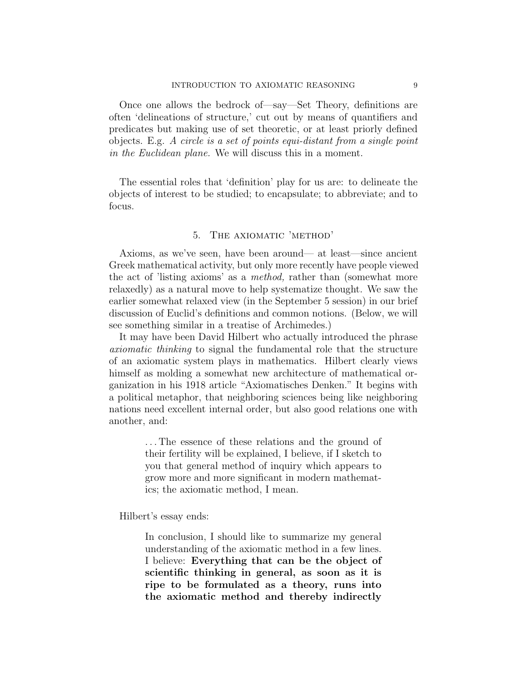Once one allows the bedrock of—say—Set Theory, definitions are often 'delineations of structure,' cut out by means of quantifiers and predicates but making use of set theoretic, or at least priorly defined objects. E.g. A circle is a set of points equi-distant from a single point in the Euclidean plane. We will discuss this in a moment.

The essential roles that 'definition' play for us are: to delineate the objects of interest to be studied; to encapsulate; to abbreviate; and to focus.

#### 5. The axiomatic 'method'

<span id="page-8-0"></span>Axioms, as we've seen, have been around— at least—since ancient Greek mathematical activity, but only more recently have people viewed the act of 'listing axioms' as a method, rather than (somewhat more relaxedly) as a natural move to help systematize thought. We saw the earlier somewhat relaxed view (in the September 5 session) in our brief discussion of Euclid's definitions and common notions. (Below, we will see something similar in a treatise of Archimedes.)

It may have been David Hilbert who actually introduced the phrase axiomatic thinking to signal the fundamental role that the structure of an axiomatic system plays in mathematics. Hilbert clearly views himself as molding a somewhat new architecture of mathematical organization in his 1918 article "Axiomatisches Denken." It begins with a political metaphor, that neighboring sciences being like neighboring nations need excellent internal order, but also good relations one with another, and:

> . . . The essence of these relations and the ground of their fertility will be explained, I believe, if I sketch to you that general method of inquiry which appears to grow more and more significant in modern mathematics; the axiomatic method, I mean.

Hilbert's essay ends:

In conclusion, I should like to summarize my general understanding of the axiomatic method in a few lines. I believe: Everything that can be the object of scientific thinking in general, as soon as it is ripe to be formulated as a theory, runs into the axiomatic method and thereby indirectly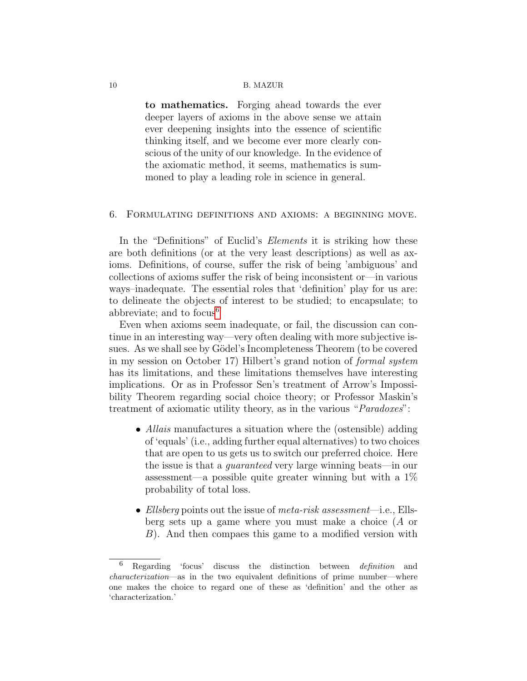to mathematics. Forging ahead towards the ever deeper layers of axioms in the above sense we attain ever deepening insights into the essence of scientific thinking itself, and we become ever more clearly conscious of the unity of our knowledge. In the evidence of the axiomatic method, it seems, mathematics is summoned to play a leading role in science in general.

## <span id="page-9-0"></span>6. Formulating definitions and axioms: a beginning move.

In the "Definitions" of Euclid's *Elements* it is striking how these are both definitions (or at the very least descriptions) as well as axioms. Definitions, of course, suffer the risk of being 'ambiguous' and collections of axioms suffer the risk of being inconsistent or—in various ways–inadequate. The essential roles that 'definition' play for us are: to delineate the objects of interest to be studied; to encapsulate; to abbreviate; and to focus<sup> $6$ </sup>

Even when axioms seem inadequate, or fail, the discussion can continue in an interesting way—very often dealing with more subjective issues. As we shall see by Gödel's Incompleteness Theorem (to be covered in my session on October 17) Hilbert's grand notion of formal system has its limitations, and these limitations themselves have interesting implications. Or as in Professor Sen's treatment of Arrow's Impossibility Theorem regarding social choice theory; or Professor Maskin's treatment of axiomatic utility theory, as in the various "Paradoxes":

- Allais manufactures a situation where the (ostensible) adding of 'equals' (i.e., adding further equal alternatives) to two choices that are open to us gets us to switch our preferred choice. Here the issue is that a guaranteed very large winning beats—in our assessment—a possible quite greater winning but with a  $1\%$ probability of total loss.
- Ellsberg points out the issue of meta-risk assessment—i.e., Ellsberg sets up a game where you must make a choice (A or B). And then compaes this game to a modified version with

<span id="page-9-1"></span><sup>6</sup> Regarding 'focus' discuss the distinction between definition and characterization—as in the two equivalent definitions of prime number—where one makes the choice to regard one of these as 'definition' and the other as 'characterization.'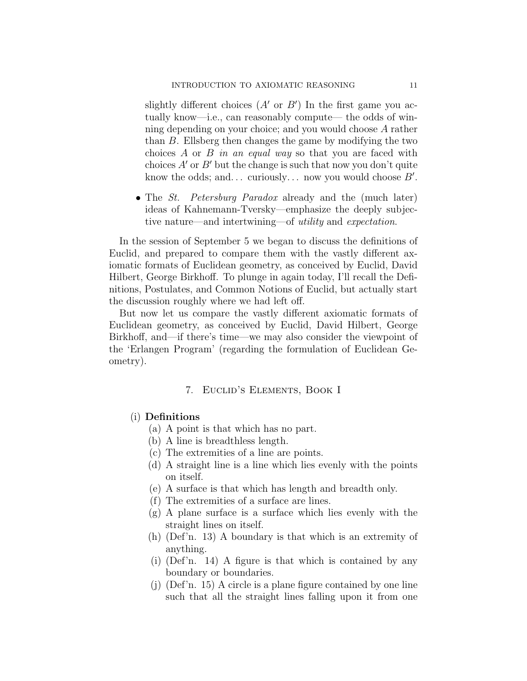slightly different choices  $(A' \text{ or } B')$  In the first game you actually know—i.e., can reasonably compute— the odds of winning depending on your choice; and you would choose A rather than B. Ellsberg then changes the game by modifying the two choices A or B in an equal way so that you are faced with choices  $A'$  or  $B'$  but the change is such that now you don't quite know the odds; and... curiously... now you would choose  $B'$ .

• The *St. Petersburg Paradox* already and the (much later) ideas of Kahnemann-Tversky—emphasize the deeply subjective nature—and intertwining—of utility and expectation.

In the session of September 5 we began to discuss the definitions of Euclid, and prepared to compare them with the vastly different axiomatic formats of Euclidean geometry, as conceived by Euclid, David Hilbert, George Birkhoff. To plunge in again today, I'll recall the Definitions, Postulates, and Common Notions of Euclid, but actually start the discussion roughly where we had left off.

But now let us compare the vastly different axiomatic formats of Euclidean geometry, as conceived by Euclid, David Hilbert, George Birkhoff, and—if there's time—we may also consider the viewpoint of the 'Erlangen Program' (regarding the formulation of Euclidean Geometry).

#### 7. Euclid's Elements, Book I

## <span id="page-10-0"></span>(i) Definitions

- (a) A point is that which has no part.
- (b) A line is breadthless length.
- (c) The extremities of a line are points.
- (d) A straight line is a line which lies evenly with the points on itself.
- (e) A surface is that which has length and breadth only.
- (f) The extremities of a surface are lines.
- (g) A plane surface is a surface which lies evenly with the straight lines on itself.
- (h) (Def'n. 13) A boundary is that which is an extremity of anything.
- (i) (Def'n. 14) A figure is that which is contained by any boundary or boundaries.
- (j) (Def'n. 15) A circle is a plane figure contained by one line such that all the straight lines falling upon it from one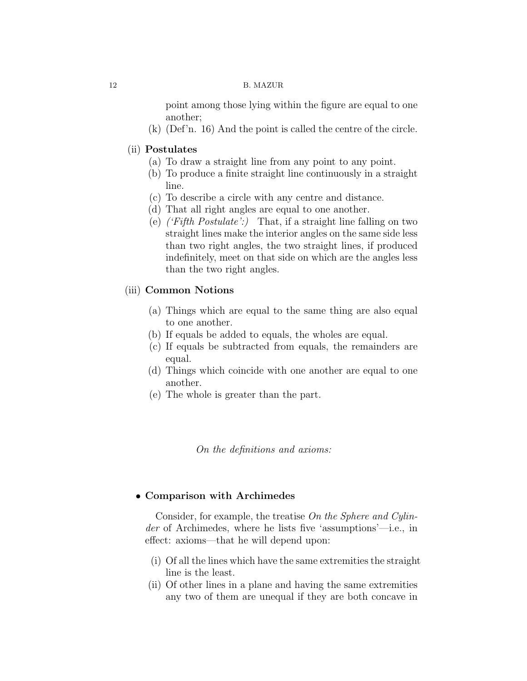point among those lying within the figure are equal to one another;

- (k) (Def'n. 16) And the point is called the centre of the circle.
- (ii) Postulates
	- (a) To draw a straight line from any point to any point.
	- (b) To produce a finite straight line continuously in a straight line.
	- (c) To describe a circle with any centre and distance.
	- (d) That all right angles are equal to one another.
	- (e)  $(Fifth Postulate')$  That, if a straight line falling on two straight lines make the interior angles on the same side less than two right angles, the two straight lines, if produced indefinitely, meet on that side on which are the angles less than the two right angles.

## (iii) Common Notions

- (a) Things which are equal to the same thing are also equal to one another.
- (b) If equals be added to equals, the wholes are equal.
- (c) If equals be subtracted from equals, the remainders are equal.
- (d) Things which coincide with one another are equal to one another.
- (e) The whole is greater than the part.

On the definitions and axioms:

# • Comparison with Archimedes

Consider, for example, the treatise On the Sphere and Cylinder of Archimedes, where he lists five 'assumptions'—i.e., in effect: axioms—that he will depend upon:

- (i) Of all the lines which have the same extremities the straight line is the least.
- (ii) Of other lines in a plane and having the same extremities any two of them are unequal if they are both concave in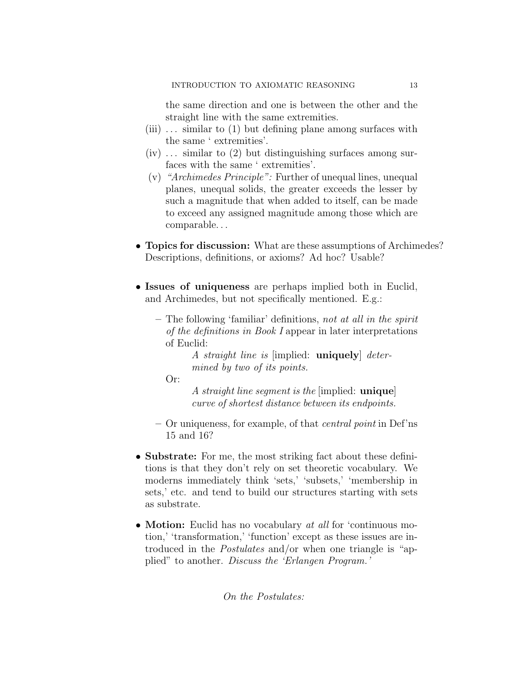the same direction and one is between the other and the straight line with the same extremities.

- (iii)  $\ldots$  similar to (1) but defining plane among surfaces with the same ' extremities'.
- $(iv)$  ... similar to  $(2)$  but distinguishing surfaces among surfaces with the same ' extremities'.
- (v) "Archimedes Principle": Further of unequal lines, unequal planes, unequal solids, the greater exceeds the lesser by such a magnitude that when added to itself, can be made to exceed any assigned magnitude among those which are comparable. . .
- Topics for discussion: What are these assumptions of Archimedes? Descriptions, definitions, or axioms? Ad hoc? Usable?
- Issues of uniqueness are perhaps implied both in Euclid, and Archimedes, but not specifically mentioned. E.g.:
	- The following 'familiar' definitions, not at all in the spirit of the definitions in Book I appear in later interpretations of Euclid:

A straight line is [implied: **uniquely**] determined by two of its points.

Or:

A straight line segment is the [implied: **unique**] curve of shortest distance between its endpoints.

- Or uniqueness, for example, of that central point in Def'ns 15 and 16?
- Substrate: For me, the most striking fact about these definitions is that they don't rely on set theoretic vocabulary. We moderns immediately think 'sets,' 'subsets,' 'membership in sets,' etc. and tend to build our structures starting with sets as substrate.
- Motion: Euclid has no vocabulary at all for 'continuous motion,' 'transformation,' 'function' except as these issues are introduced in the Postulates and/or when one triangle is "applied" to another. Discuss the 'Erlangen Program.'

On the Postulates: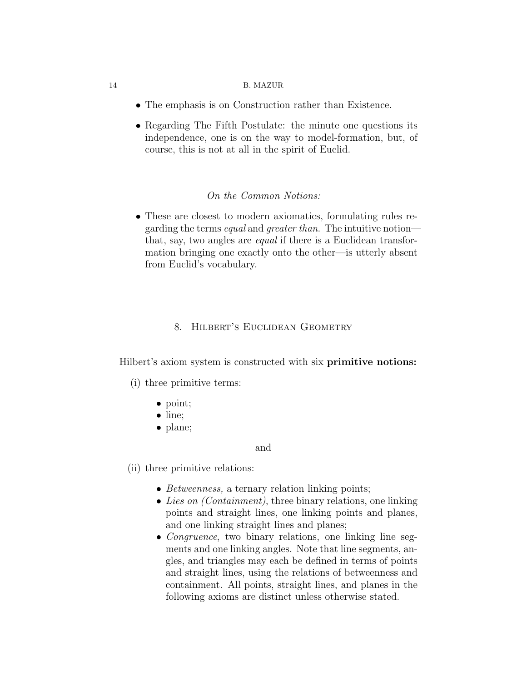- The emphasis is on Construction rather than Existence.
- Regarding The Fifth Postulate: the minute one questions its independence, one is on the way to model-formation, but, of course, this is not at all in the spirit of Euclid.

# On the Common Notions:

• These are closest to modern axiomatics, formulating rules regarding the terms equal and greater than. The intuitive notion that, say, two angles are equal if there is a Euclidean transformation bringing one exactly onto the other—is utterly absent from Euclid's vocabulary.

# 8. Hilbert's Euclidean Geometry

<span id="page-13-0"></span>Hilbert's axiom system is constructed with six **primitive notions:** 

- (i) three primitive terms:
	- point:
	- line;
	- plane;

#### and

- (ii) three primitive relations:
	- *Betweenness*, a ternary relation linking points;
	- Lies on (Containment), three binary relations, one linking points and straight lines, one linking points and planes, and one linking straight lines and planes;
	- *Congruence*, two binary relations, one linking line segments and one linking angles. Note that line segments, angles, and triangles may each be defined in terms of points and straight lines, using the relations of betweenness and containment. All points, straight lines, and planes in the following axioms are distinct unless otherwise stated.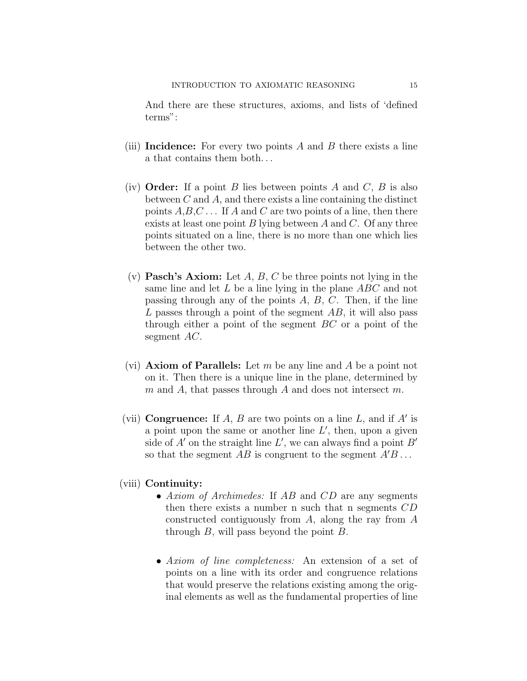And there are these structures, axioms, and lists of 'defined terms":

- (iii) Incidence: For every two points  $A$  and  $B$  there exists a line a that contains them both. . .
- (iv) Order: If a point B lies between points A and C, B is also between  $C$  and  $A$ , and there exists a line containing the distinct points  $A, B, C, \ldots$  If A and C are two points of a line, then there exists at least one point  $B$  lying between  $A$  and  $C$ . Of any three points situated on a line, there is no more than one which lies between the other two.
- (v) **Pasch's Axiom:** Let  $A, B, C$  be three points not lying in the same line and let L be a line lying in the plane ABC and not passing through any of the points  $A, B, C$ . Then, if the line  $L$  passes through a point of the segment  $AB$ , it will also pass through either a point of the segment BC or a point of the segment AC.
- (vi) **Axiom of Parallels:** Let m be any line and A be a point not on it. Then there is a unique line in the plane, determined by m and A, that passes through A and does not intersect m.
- (vii) **Congruence:** If  $A$ ,  $B$  are two points on a line  $L$ , and if  $A'$  is a point upon the same or another line  $L'$ , then, upon a given side of  $A'$  on the straight line  $L'$ , we can always find a point  $B'$ so that the segment AB is congruent to the segment  $A'B \dots$

# (viii) Continuity:

- Axiom of Archimedes: If AB and CD are any segments then there exists a number n such that n segments CD constructed contiguously from A, along the ray from A through  $B$ , will pass beyond the point  $B$ .
- Axiom of line completeness: An extension of a set of points on a line with its order and congruence relations that would preserve the relations existing among the original elements as well as the fundamental properties of line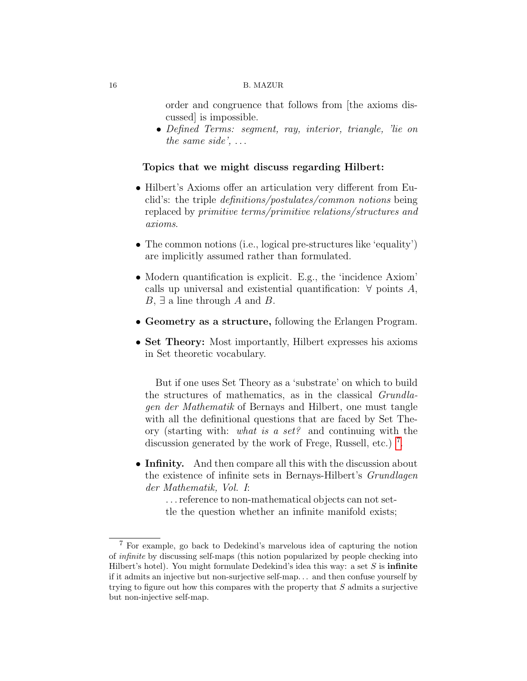order and congruence that follows from [the axioms discussed] is impossible.

• Defined Terms: segment, ray, interior, triangle, 'lie on the same side',  $\dots$ 

## Topics that we might discuss regarding Hilbert:

- Hilbert's Axioms offer an articulation very different from Euclid's: the triple definitions/postulates/common notions being replaced by primitive terms/primitive relations/structures and axioms.
- The common notions (i.e., logical pre-structures like 'equality') are implicitly assumed rather than formulated.
- Modern quantification is explicit. E.g., the 'incidence Axiom' calls up universal and existential quantification:  $\forall$  points A,  $B, \exists$  a line through A and B.
- Geometry as a structure, following the Erlangen Program.
- Set Theory: Most importantly, Hilbert expresses his axioms in Set theoretic vocabulary.

But if one uses Set Theory as a 'substrate' on which to build the structures of mathematics, as in the classical Grundlagen der Mathematik of Bernays and Hilbert, one must tangle with all the definitional questions that are faced by Set Theory (starting with: what is a set? and continuing with the discussion generated by the work of Frege, Russell, etc.)<sup>[7](#page-15-0)</sup>.

• Infinity. And then compare all this with the discussion about the existence of infinite sets in Bernays-Hilbert's Grundlagen der Mathematik, Vol. I:

> . . .reference to non-mathematical objects can not settle the question whether an infinite manifold exists;

<span id="page-15-0"></span><sup>7</sup> For example, go back to Dedekind's marvelous idea of capturing the notion of infinite by discussing self-maps (this notion popularized by people checking into Hilbert's hotel). You might formulate Dedekind's idea this way: a set  $S$  is **infinite** if it admits an injective but non-surjective self-map. . . and then confuse yourself by trying to figure out how this compares with the property that  $S$  admits a surjective but non-injective self-map.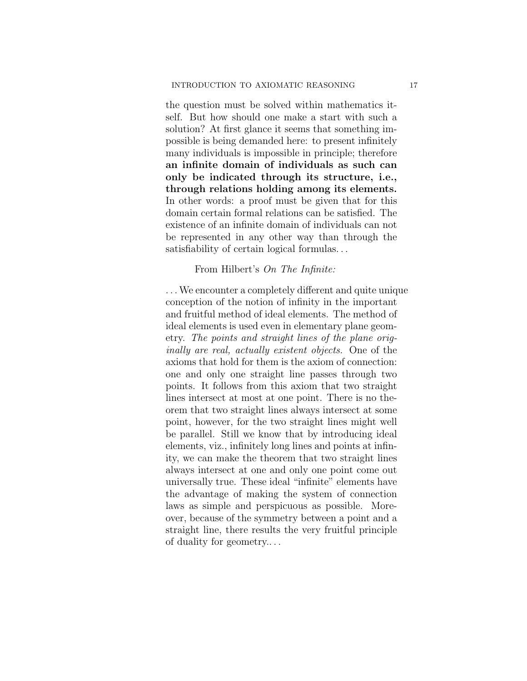the question must be solved within mathematics itself. But how should one make a start with such a solution? At first glance it seems that something impossible is being demanded here: to present infinitely many individuals is impossible in principle; therefore an infinite domain of individuals as such can only be indicated through its structure, i.e., through relations holding among its elements. In other words: a proof must be given that for this domain certain formal relations can be satisfied. The existence of an infinite domain of individuals can not be represented in any other way than through the satisfiability of certain logical formulas. . .

### From Hilbert's On The Infinite:

. . .We encounter a completely different and quite unique conception of the notion of infinity in the important and fruitful method of ideal elements. The method of ideal elements is used even in elementary plane geometry. The points and straight lines of the plane originally are real, actually existent objects. One of the axioms that hold for them is the axiom of connection: one and only one straight line passes through two points. It follows from this axiom that two straight lines intersect at most at one point. There is no theorem that two straight lines always intersect at some point, however, for the two straight lines might well be parallel. Still we know that by introducing ideal elements, viz., infinitely long lines and points at infinity, we can make the theorem that two straight lines always intersect at one and only one point come out universally true. These ideal "infinite" elements have the advantage of making the system of connection laws as simple and perspicuous as possible. Moreover, because of the symmetry between a point and a straight line, there results the very fruitful principle of duality for geometry.. . .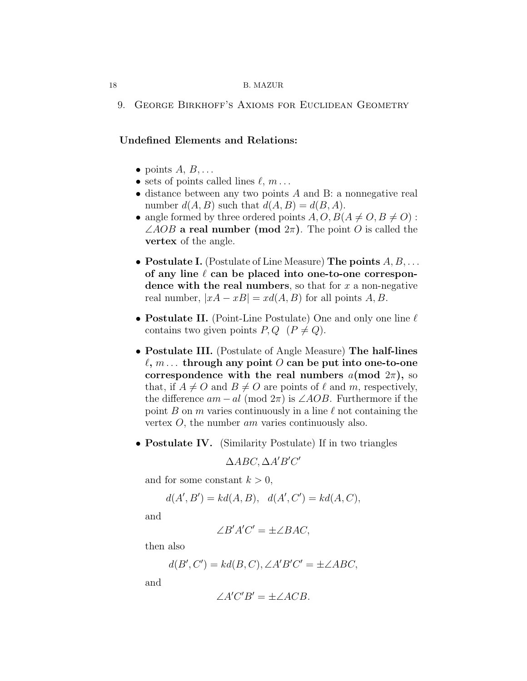<span id="page-17-0"></span>9. George Birkhoff's Axioms for Euclidean Geometry

## Undefined Elements and Relations:

- points  $A, B, \ldots$
- sets of points called lines  $\ell, m \ldots$
- $\bullet$  distance between any two points  $A$  and  $B$ : a nonnegative real number  $d(A, B)$  such that  $d(A, B) = d(B, A)$ .
- angle formed by three ordered points  $A, O, B(A \neq O, B \neq O)$ :  $\angle AOB$  a real number (mod  $2\pi$ ). The point O is called the vertex of the angle.
- Postulate I. (Postulate of Line Measure) The points  $A, B, \ldots$ of any line  $\ell$  can be placed into one-to-one correspondence with the real numbers, so that for  $x$  a non-negative real number,  $|xA - xB| = xd(A, B)$  for all points A, B.
- Postulate II. (Point-Line Postulate) One and only one line  $\ell$ contains two given points  $P, Q \, (P \neq Q)$ .
- Postulate III. (Postulate of Angle Measure) The half-lines  $\ell, m \ldots$  through any point O can be put into one-to-one correspondence with the real numbers  $a$ (mod  $2\pi$ ), so that, if  $A \neq O$  and  $B \neq O$  are points of  $\ell$  and m, respectively, the difference  $am - al \pmod{2\pi}$  is  $\angle AOB$ . Furthermore if the point B on m varies continuously in a line  $\ell$  not containing the vertex O, the number am varies continuously also.
- Postulate IV. (Similarity Postulate) If in two triangles

 $\triangle ABC$ ,  $\triangle A'B'C'$ 

and for some constant  $k > 0$ ,

$$
d(A', B') = kd(A, B), \ d(A', C') = kd(A, C),
$$

and

 $\angle B'A'C' = \pm \angle BAC,$ 

then also

 $d(B', C') = kd(B, C), \angle A'B'C' = \pm \angle ABC,$ 

and

$$
\angle A'C'B' = \pm \angle ACB.
$$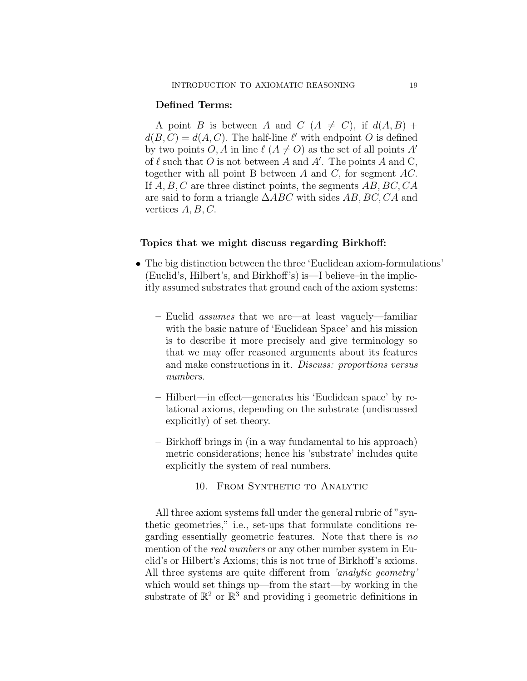## Defined Terms:

A point B is between A and  $C(A \neq C)$ , if  $d(A, B)$  +  $d(B, C) = d(A, C)$ . The half-line  $\ell'$  with endpoint O is defined by two points O, A in line  $\ell$   $(A \neq O)$  as the set of all points A' of  $\ell$  such that O is not between A and A'. The points A and C, together with all point B between A and C, for segment AC. If  $A, B, C$  are three distinct points, the segments  $AB, BC, CA$ are said to form a triangle  $\triangle ABC$  with sides  $AB, BC, CA$  and vertices  $A, B, C$ .

## Topics that we might discuss regarding Birkhoff:

- The big distinction between the three 'Euclidean axiom-formulations' (Euclid's, Hilbert's, and Birkhoff's) is—I believe–in the implicitly assumed substrates that ground each of the axiom systems:
	- Euclid assumes that we are—at least vaguely—familiar with the basic nature of 'Euclidean Space' and his mission is to describe it more precisely and give terminology so that we may offer reasoned arguments about its features and make constructions in it. Discuss: proportions versus numbers.
	- Hilbert—in effect—generates his 'Euclidean space' by relational axioms, depending on the substrate (undiscussed explicitly) of set theory.
	- Birkhoff brings in (in a way fundamental to his approach) metric considerations; hence his 'substrate' includes quite explicitly the system of real numbers.

## 10. FROM SYNTHETIC TO ANALYTIC

<span id="page-18-0"></span>All three axiom systems fall under the general rubric of "synthetic geometries," i.e., set-ups that formulate conditions regarding essentially geometric features. Note that there is no mention of the *real numbers* or any other number system in Euclid's or Hilbert's Axioms; this is not true of Birkhoff's axioms. All three systems are quite different from *'analytic geometry'* which would set things up—from the start—by working in the substrate of  $\mathbb{R}^2$  or  $\mathbb{R}^3$  and providing i geometric definitions in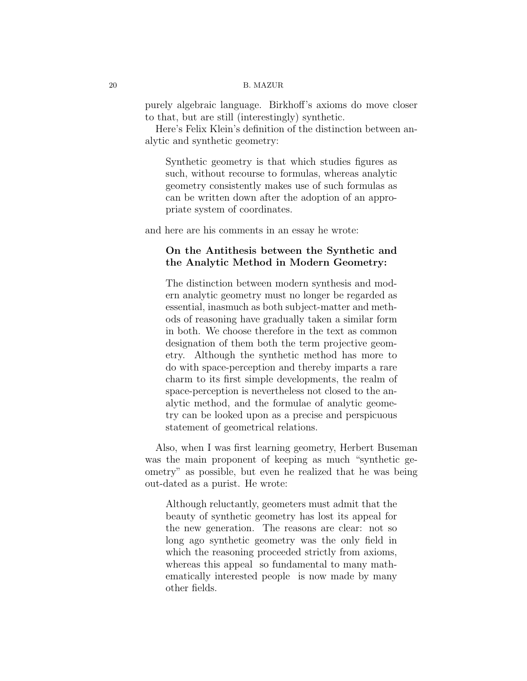purely algebraic language. Birkhoff's axioms do move closer to that, but are still (interestingly) synthetic.

Here's Felix Klein's definition of the distinction between analytic and synthetic geometry:

Synthetic geometry is that which studies figures as such, without recourse to formulas, whereas analytic geometry consistently makes use of such formulas as can be written down after the adoption of an appropriate system of coordinates.

and here are his comments in an essay he wrote:

# On the Antithesis between the Synthetic and the Analytic Method in Modern Geometry:

The distinction between modern synthesis and modern analytic geometry must no longer be regarded as essential, inasmuch as both subject-matter and methods of reasoning have gradually taken a similar form in both. We choose therefore in the text as common designation of them both the term projective geometry. Although the synthetic method has more to do with space-perception and thereby imparts a rare charm to its first simple developments, the realm of space-perception is nevertheless not closed to the analytic method, and the formulae of analytic geometry can be looked upon as a precise and perspicuous statement of geometrical relations.

Also, when I was first learning geometry, Herbert Buseman was the main proponent of keeping as much "synthetic geometry" as possible, but even he realized that he was being out-dated as a purist. He wrote:

Although reluctantly, geometers must admit that the beauty of synthetic geometry has lost its appeal for the new generation. The reasons are clear: not so long ago synthetic geometry was the only field in which the reasoning proceeded strictly from axioms, whereas this appeal so fundamental to many mathematically interested people is now made by many other fields.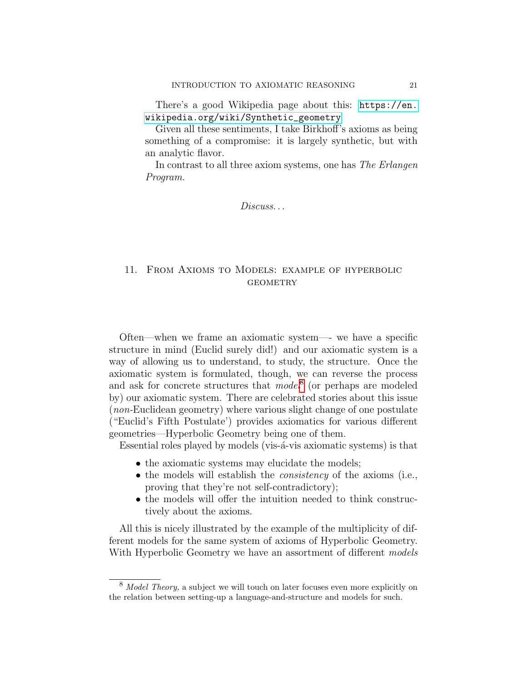There's a good Wikipedia page about this: [https://en.](https://en.wikipedia.org/wiki/Synthetic_geometry) [wikipedia.org/wiki/Synthetic\\_geometry](https://en.wikipedia.org/wiki/Synthetic_geometry)

Given all these sentiments, I take Birkhoff's axioms as being something of a compromise: it is largely synthetic, but with an analytic flavor.

In contrast to all three axiom systems, one has The Erlangen Program.

Discuss...

# <span id="page-20-0"></span>11. From Axioms to Models: example of hyperbolic **GEOMETRY**

Often—when we frame an axiomatic system—- we have a specific structure in mind (Euclid surely did!) and our axiomatic system is a way of allowing us to understand, to study, the structure. Once the axiomatic system is formulated, though, we can reverse the process and ask for concrete structures that  $\textit{model}^8$  $\textit{model}^8$  (or perhaps are modeled by) our axiomatic system. There are celebrated stories about this issue (non-Euclidean geometry) where various slight change of one postulate ("Euclid's Fifth Postulate') provides axiomatics for various different geometries—Hyperbolic Geometry being one of them.

Essential roles played by models (vis- $\acute{a}$ -vis axiomatic systems) is that

- the axiomatic systems may elucidate the models;
- the models will establish the *consistency* of the axioms (i.e., proving that they're not self-contradictory);
- the models will offer the intuition needed to think constructively about the axioms.

All this is nicely illustrated by the example of the multiplicity of different models for the same system of axioms of Hyperbolic Geometry. With Hyperbolic Geometry we have an assortment of different models

<span id="page-20-1"></span> $^8$   $Model$   $Theory,$  a subject we will touch on later focuses even more explicitly on the relation between setting-up a language-and-structure and models for such.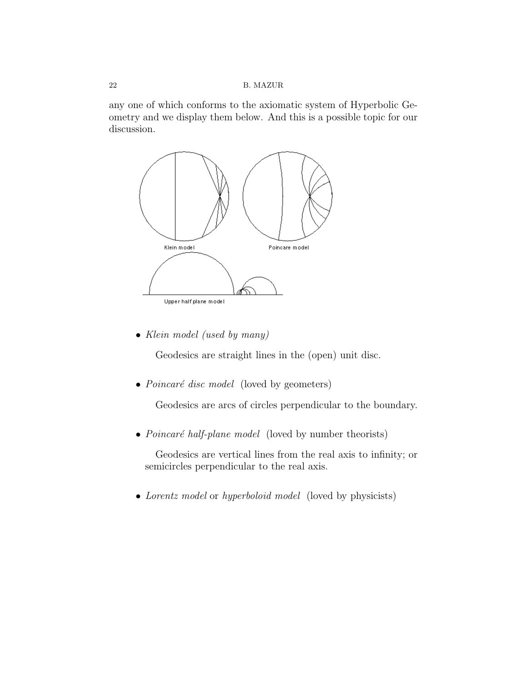any one of which conforms to the axiomatic system of Hyperbolic Geometry and we display them below. And this is a possible topic for our discussion.



• Klein model (used by many)

Geodesics are straight lines in the (open) unit disc.

• Poincaré disc model (loved by geometers)

Geodesics are arcs of circles perpendicular to the boundary.

• Poincaré half-plane model (loved by number theorists)

Geodesics are vertical lines from the real axis to infinity; or semicircles perpendicular to the real axis.

• Lorentz model or hyperboloid model (loved by physicists)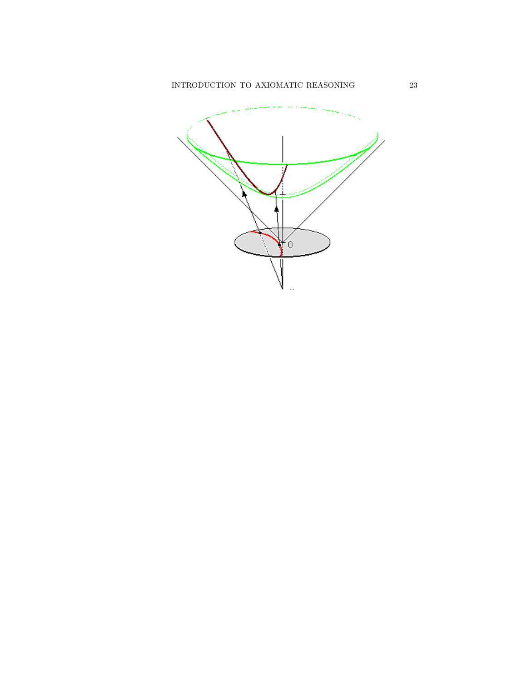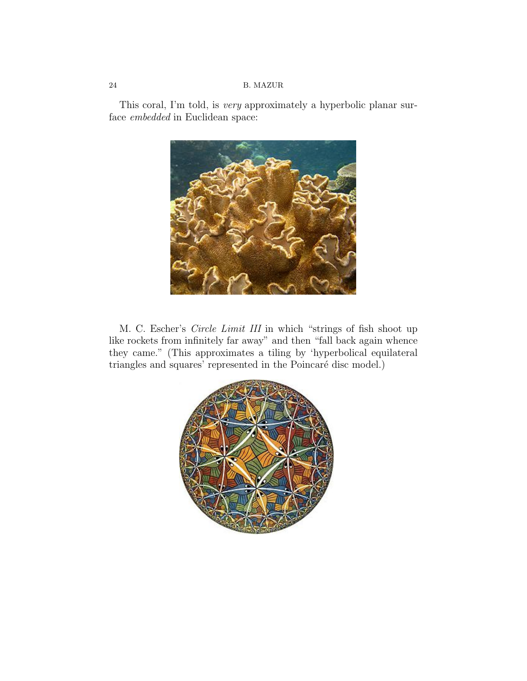This coral, I'm told, is very approximately a hyperbolic planar surface embedded in Euclidean space:



M. C. Escher's Circle Limit III in which "strings of fish shoot up like rockets from infinitely far away" and then "fall back again whence they came." (This approximates a tiling by 'hyperbolical equilateral triangles and squares' represented in the Poincaré disc model.)

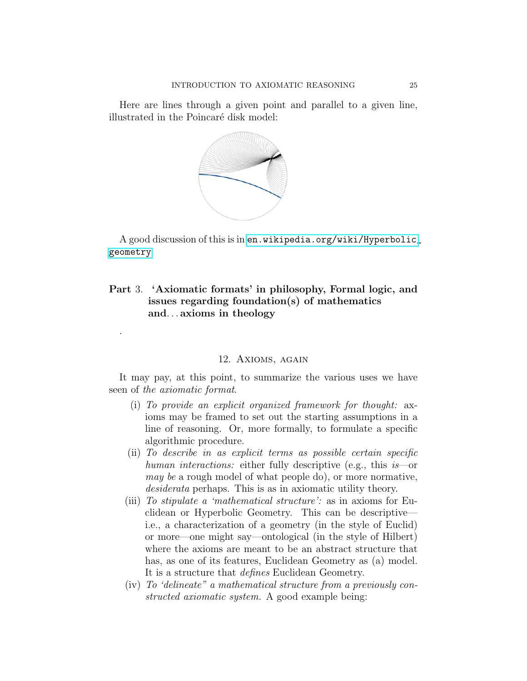Here are lines through a given point and parallel to a given line, illustrated in the Poincaré disk model:



A good discussion of this is in [en.wikipedia.org/wiki/Hyperbolic\\_]( en.wikipedia.org/wiki/Hyperbolic_geometry) [geometry]( en.wikipedia.org/wiki/Hyperbolic_geometry)

# <span id="page-24-0"></span>Part 3. 'Axiomatic formats' in philosophy, Formal logic, and issues regarding foundation(s) of mathematics and. . . axioms in theology

## 12. Axioms, again

.

<span id="page-24-1"></span>It may pay, at this point, to summarize the various uses we have seen of the axiomatic format.

- (i) To provide an explicit organized framework for thought: axioms may be framed to set out the starting assumptions in a line of reasoning. Or, more formally, to formulate a specific algorithmic procedure.
- (ii) To describe in as explicit terms as possible certain specific human interactions: either fully descriptive (e.g., this is—or may be a rough model of what people do), or more normative, desiderata perhaps. This is as in axiomatic utility theory.
- (iii) To stipulate a 'mathematical structure': as in axioms for Euclidean or Hyperbolic Geometry. This can be descriptive i.e., a characterization of a geometry (in the style of Euclid) or more—one might say—ontological (in the style of Hilbert) where the axioms are meant to be an abstract structure that has, as one of its features, Euclidean Geometry as (a) model. It is a structure that defines Euclidean Geometry.
- (iv) To 'delineate" a mathematical structure from a previously constructed axiomatic system. A good example being: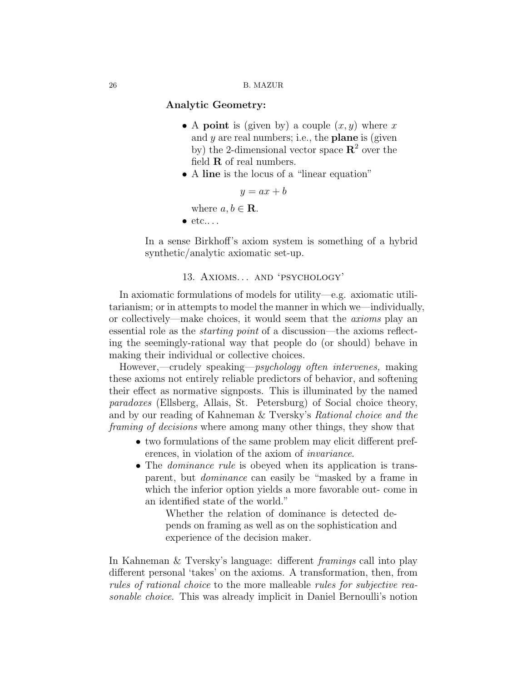## Analytic Geometry:

- A point is (given by) a couple  $(x, y)$  where x and  $y$  are real numbers; i.e., the **plane** is (given by) the 2-dimensional vector space  $\mathbb{R}^2$  over the field  **of real numbers.**
- A line is the locus of a "linear equation"

 $y = ax + b$ 

where  $a, b \in \mathbf{R}$ .

 $\bullet$  etc....

In a sense Birkhoff's axiom system is something of a hybrid synthetic/analytic axiomatic set-up.

## 13. Axioms. . . and 'psychology'

<span id="page-25-0"></span>In axiomatic formulations of models for utility—e.g. axiomatic utilitarianism; or in attempts to model the manner in which we—individually, or collectively—make choices, it would seem that the axioms play an essential role as the starting point of a discussion—the axioms reflecting the seemingly-rational way that people do (or should) behave in making their individual or collective choices.

However,—crudely speaking—psychology often intervenes, making these axioms not entirely reliable predictors of behavior, and softening their effect as normative signposts. This is illuminated by the named paradoxes (Ellsberg, Allais, St. Petersburg) of Social choice theory, and by our reading of Kahneman & Tversky's Rational choice and the framing of decisions where among many other things, they show that

- two formulations of the same problem may elicit different preferences, in violation of the axiom of invariance.
- The *dominance rule* is obeyed when its application is transparent, but dominance can easily be "masked by a frame in which the inferior option yields a more favorable out- come in an identified state of the world."

Whether the relation of dominance is detected depends on framing as well as on the sophistication and experience of the decision maker.

In Kahneman & Tversky's language: different framings call into play different personal 'takes' on the axioms. A transformation, then, from rules of rational choice to the more malleable rules for subjective reasonable choice. This was already implicit in Daniel Bernoulli's notion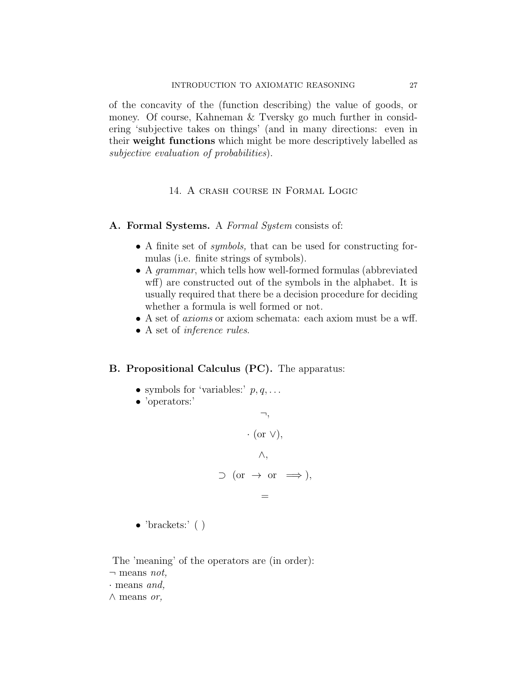of the concavity of the (function describing) the value of goods, or money. Of course, Kahneman & Tversky go much further in considering 'subjective takes on things' (and in many directions: even in their weight functions which might be more descriptively labelled as subjective evaluation of probabilities).

## 14. A crash course in Formal Logic

- <span id="page-26-0"></span>A. Formal Systems. A Formal System consists of:
	- A finite set of *symbols*, that can be used for constructing formulas (i.e. finite strings of symbols).
	- A *grammar*, which tells how well-formed formulas (abbreviated wff) are constructed out of the symbols in the alphabet. It is usually required that there be a decision procedure for deciding whether a formula is well formed or not.
	- A set of axioms or axiom schemata: each axiom must be a wff.
	- A set of *inference rules*.

# B. Propositional Calculus (PC). The apparatus:

- symbols for 'variables:'  $p, q, \ldots$
- 'operators:'

```
¬,
        \cdot (or \vee),
        ∧,
\supset (or \rightarrow or \implies),
             =
```
 $\bullet$  'brackets:' ()

The 'meaning' of the operators are (in order):  $\neg$  means not,

```
· means and,
```
∧ means or,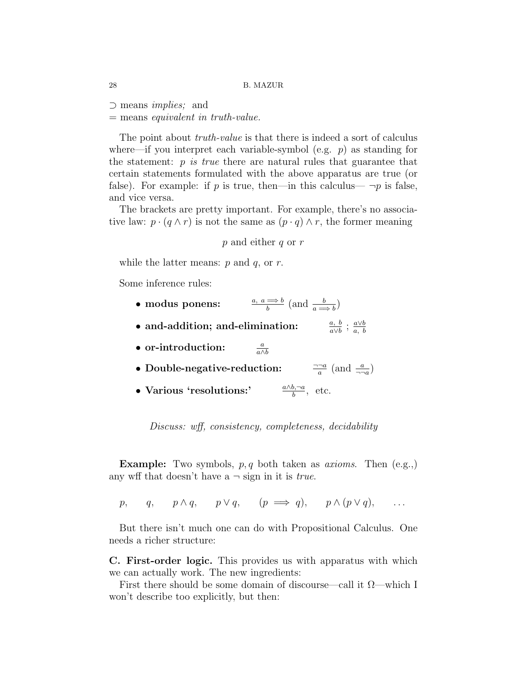⊃ means implies; and

 $=$  means *equivalent in truth-value*.

The point about *truth-value* is that there is indeed a sort of calculus where—if you interpret each variable-symbol (e.g.  $p$ ) as standing for the statement:  $p$  is true there are natural rules that guarantee that certain statements formulated with the above apparatus are true (or false). For example: if p is true, then—in this calculus—  $\neg p$  is false, and vice versa.

The brackets are pretty important. For example, there's no associative law:  $p \cdot (q \wedge r)$  is not the same as  $(p \cdot q) \wedge r$ , the former meaning

 $p$  and either  $q$  or  $r$ 

while the latter means:  $p$  and  $q$ , or  $r$ .

Some inference rules:

- modus ponens:  $\frac{a}{b}$  (and  $\frac{b}{a \Longrightarrow b}$ )
- and-addition; and-elimination:  $\frac{a, b}{a \vee b}$  ;  $\frac{a \vee b}{a, b}$ a, b
- or-introduction:  $rac{a}{a \wedge b}$
- Double-negative-reduction:  $\frac{\neg a}{a}$  (and  $\frac{a}{\neg \neg a}$ )
- Various 'resolutions:'  $\frac{b, \neg a}{b}$ , etc.

Discuss: wff, consistency, completeness, decidability

**Example:** Two symbols,  $p, q$  both taken as *axioms*. Then  $(e.g.,)$ any wff that doesn't have a  $\neg$  sign in it is *true*.

 $p, \quad q, \quad p \wedge q, \quad p \vee q, \quad (p \implies q), \quad p \wedge (p \vee q), \quad \ldots$ 

But there isn't much one can do with Propositional Calculus. One needs a richer structure:

C. First-order logic. This provides us with apparatus with which we can actually work. The new ingredients:

First there should be some domain of discourse—call it  $\Omega$ —which I won't describe too explicitly, but then: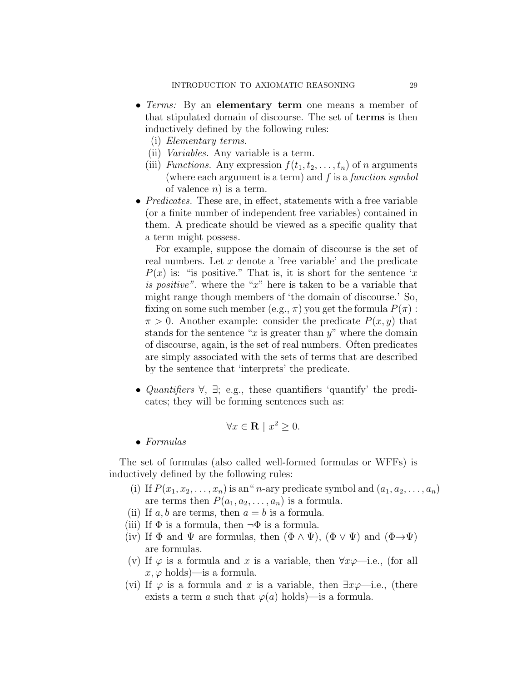- Terms: By an elementary term one means a member of that stipulated domain of discourse. The set of terms is then inductively defined by the following rules:
	- (i) Elementary terms.
	- (ii) Variables. Any variable is a term.
	- (iii) Functions. Any expression  $f(t_1, t_2, \ldots, t_n)$  of n arguments (where each argument is a term) and  $f$  is a function symbol of valence  $n$ ) is a term.
- Predicates. These are, in effect, statements with a free variable (or a finite number of independent free variables) contained in them. A predicate should be viewed as a specific quality that a term might possess.

For example, suppose the domain of discourse is the set of real numbers. Let x denote a 'free variable' and the predicate  $P(x)$  is: "is positive." That is, it is short for the sentence 'x is positive". where the " $x$ " here is taken to be a variable that might range though members of 'the domain of discourse.' So, fixing on some such member (e.g.,  $\pi$ ) you get the formula  $P(\pi)$ :  $\pi > 0$ . Another example: consider the predicate  $P(x, y)$  that stands for the sentence "x is greater than  $y$ " where the domain of discourse, again, is the set of real numbers. Often predicates are simply associated with the sets of terms that are described by the sentence that 'interprets' the predicate.

• Quantifiers  $\forall$ ,  $\exists$ ; e.g., these quantifiers 'quantify' the predicates; they will be forming sentences such as:

$$
\forall x \in \mathbf{R} \mid x^2 \ge 0.
$$

• Formulas

The set of formulas (also called well-formed formulas or WFFs) is inductively defined by the following rules:

- (i) If  $P(x_1, x_2, \ldots, x_n)$  is an "*n*-ary predicate symbol and  $(a_1, a_2, \ldots, a_n)$ are terms then  $P(a_1, a_2, \ldots, a_n)$  is a formula.
- (ii) If a, b are terms, then  $a = b$  is a formula.
- (iii) If  $\Phi$  is a formula, then  $\neg \Phi$  is a formula.
- (iv) If  $\Phi$  and  $\Psi$  are formulas, then  $(\Phi \wedge \Psi)$ ,  $(\Phi \vee \Psi)$  and  $(\Phi \rightarrow \Psi)$ are formulas.
- (v) If  $\varphi$  is a formula and x is a variable, then  $\forall x \varphi$ —i.e., (for all  $x, \varphi$  holds)—is a formula.
- (vi) If  $\varphi$  is a formula and x is a variable, then  $\exists x \varphi$ —i.e., (there exists a term a such that  $\varphi(a)$  holds)—is a formula.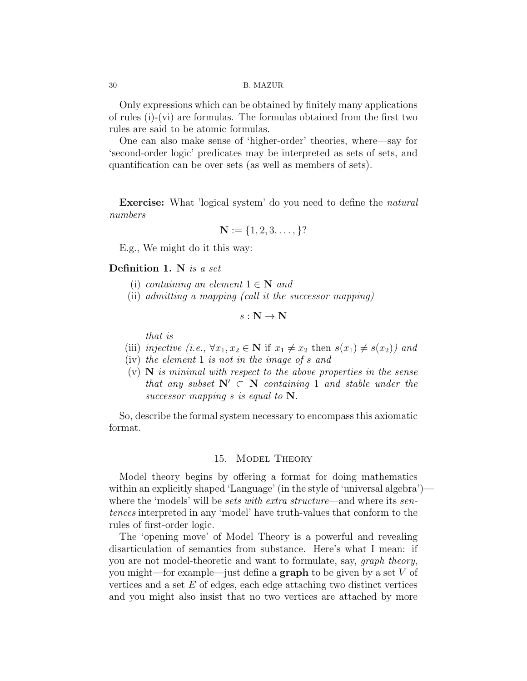Only expressions which can be obtained by finitely many applications of rules (i)-(vi) are formulas. The formulas obtained from the first two rules are said to be atomic formulas.

One can also make sense of 'higher-order' theories, where—say for 'second-order logic' predicates may be interpreted as sets of sets, and quantification can be over sets (as well as members of sets).

Exercise: What 'logical system' do you need to define the *natural* numbers

$$
\mathbf{N} := \{1, 2, 3, \dots, \}?
$$

E.g., We might do it this way:

## Definition 1. N is a set

- (i) containing an element  $1 \in \mathbb{N}$  and
- (ii) admitting a mapping (call it the successor mapping)

$$
s:\mathbf{N}\to\mathbf{N}
$$

that is

- (iii) injective (i.e.,  $\forall x_1, x_2 \in \mathbb{N}$  if  $x_1 \neq x_2$  then  $s(x_1) \neq s(x_2)$ ) and
- (iv) the element 1 is not in the image of s and
- $(v)$  N is minimal with respect to the above properties in the sense that any subset  $N' \subset N$  containing 1 and stable under the successor mapping s is equal to  $N$ .

So, describe the formal system necessary to encompass this axiomatic format.

## 15. Model Theory

<span id="page-29-0"></span>Model theory begins by offering a format for doing mathematics within an explicitly shaped 'Language' (in the style of 'universal algebra') where the 'models' will be *sets with extra structure*—and where its *sen*tences interpreted in any 'model' have truth-values that conform to the rules of first-order logic.

The 'opening move' of Model Theory is a powerful and revealing disarticulation of semantics from substance. Here's what I mean: if you are not model-theoretic and want to formulate, say, graph theory, you might—for example—just define a **graph** to be given by a set  $V$  of vertices and a set  $E$  of edges, each edge attaching two distinct vertices and you might also insist that no two vertices are attached by more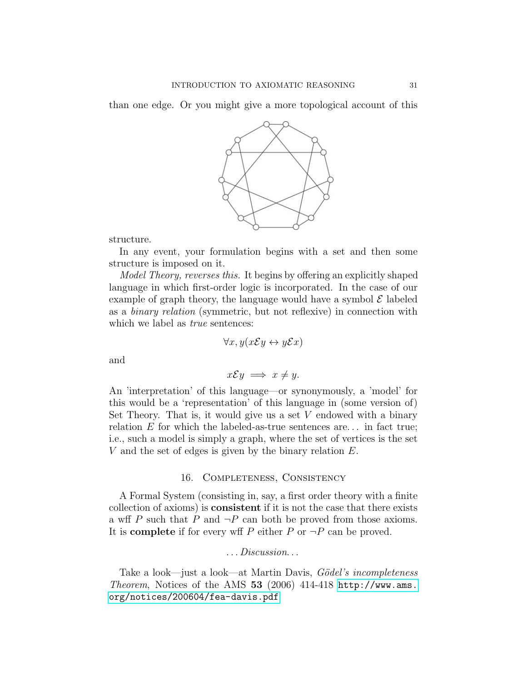than one edge. Or you might give a more topological account of this



structure.

In any event, your formulation begins with a set and then some structure is imposed on it.

Model Theory, reverses this. It begins by offering an explicitly shaped language in which first-order logic is incorporated. In the case of our example of graph theory, the language would have a symbol  $\mathcal E$  labeled as a binary relation (symmetric, but not reflexive) in connection with which we label as *true* sentences:

$$
\forall x, y(x \mathcal{E} y \leftrightarrow y \mathcal{E} x)
$$

and

 $x \mathcal{E} y \implies x \neq y.$ 

Set Theory. That is, it would give us a set V endowed with a binary An 'interpretation' of this language—or synonymously, a 'model' for this would be a 'representation' of this language in (some version of) relation  $E$  for which the labeled-as-true sentences are... in fact true; i.e., such a model is simply a graph, where the set of vertices is the set V and the set of edges is given by the binary relation E.

## 16. Completeness, Consistency

<span id="page-30-0"></span>A Formal System (consisting in, say, a first order theory with a finite collection of axioms) is consistent if it is not the case that there exists a wff P such that P and  $\neg P$  can both be proved from those axioms. It is **complete** if for every wff P either P or  $\neg P$  can be proved.

. . . Discussion. . .

Take a look—just a look—at Martin Davis, Gödel's incompleteness Theorem, Notices of the AMS 53 (2006) 414-418 [http://www.ams.](http://www.ams.org/notices/200604/fea-davis.pdf) [org/notices/200604/fea-davis.pdf](http://www.ams.org/notices/200604/fea-davis.pdf)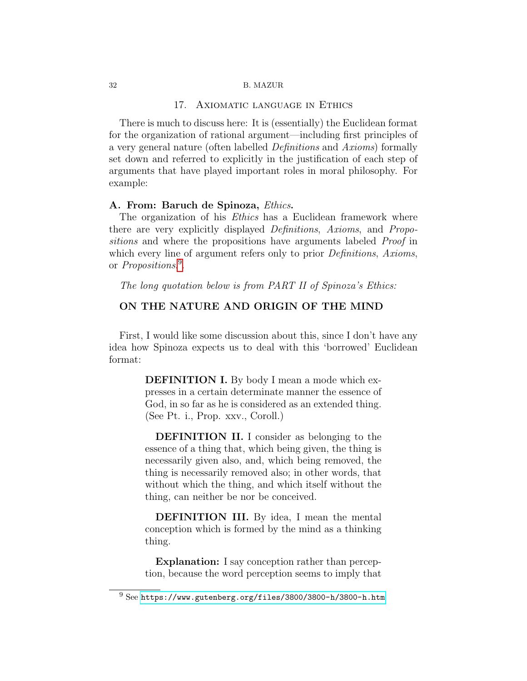#### 17. Axiomatic language in Ethics

<span id="page-31-0"></span>There is much to discuss here: It is (essentially) the Euclidean format for the organization of rational argument—including first principles of a very general nature (often labelled Definitions and Axioms) formally set down and referred to explicitly in the justification of each step of arguments that have played important roles in moral philosophy. For example:

## A. From: Baruch de Spinoza, Ethics.

The organization of his *Ethics* has a Euclidean framework where there are very explicitly displayed Definitions, Axioms, and Propositions and where the propositions have arguments labeled Proof in which every line of argument refers only to prior *Definitions*, *Axioms*, or *Propositions*.<sup>[9](#page-31-1)</sup>.

The long quotation below is from PART II of Spinoza's Ethics:

## ON THE NATURE AND ORIGIN OF THE MIND

First, I would like some discussion about this, since I don't have any idea how Spinoza expects us to deal with this 'borrowed' Euclidean format:

> DEFINITION I. By body I mean a mode which expresses in a certain determinate manner the essence of God, in so far as he is considered as an extended thing. (See Pt. i., Prop. xxv., Coroll.)

> DEFINITION II. I consider as belonging to the essence of a thing that, which being given, the thing is necessarily given also, and, which being removed, the thing is necessarily removed also; in other words, that without which the thing, and which itself without the thing, can neither be nor be conceived.

> DEFINITION III. By idea, I mean the mental conception which is formed by the mind as a thinking thing.

> Explanation: I say conception rather than perception, because the word perception seems to imply that

<span id="page-31-1"></span> $9$  See <https://www.gutenberg.org/files/3800/3800-h/3800-h.htm>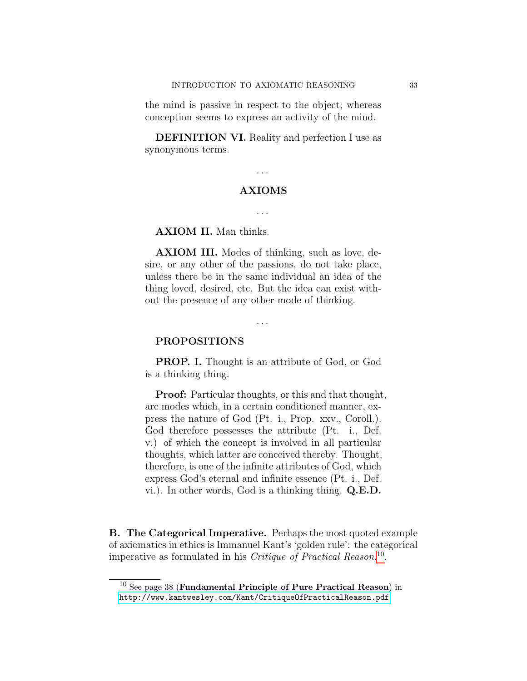the mind is passive in respect to the object; whereas conception seems to express an activity of the mind.

DEFINITION VI. Reality and perfection I use as synonymous terms.

. . .

## AXIOMS

. . .

AXIOM II. Man thinks.

AXIOM III. Modes of thinking, such as love, desire, or any other of the passions, do not take place, unless there be in the same individual an idea of the thing loved, desired, etc. But the idea can exist without the presence of any other mode of thinking.

. . .

## PROPOSITIONS

PROP. I. Thought is an attribute of God, or God is a thinking thing.

Proof: Particular thoughts, or this and that thought, are modes which, in a certain conditioned manner, express the nature of God (Pt. i., Prop. xxv., Coroll.). God therefore possesses the attribute (Pt. i., Def. v.) of which the concept is involved in all particular thoughts, which latter are conceived thereby. Thought, therefore, is one of the infinite attributes of God, which express God's eternal and infinite essence (Pt. i., Def. vi.). In other words, God is a thinking thing. Q.E.D.

B. The Categorical Imperative. Perhaps the most quoted example of axiomatics in ethics is Immanuel Kant's 'golden rule': the categorical imperative as formulated in his Critique of Practical Reason.<sup>[10](#page-32-0)</sup>.

<span id="page-32-0"></span> $^{10}$  See page 38 (Fundamental Principle of Pure Practical Reason) in <http://www.kantwesley.com/Kant/CritiqueOfPracticalReason.pdf>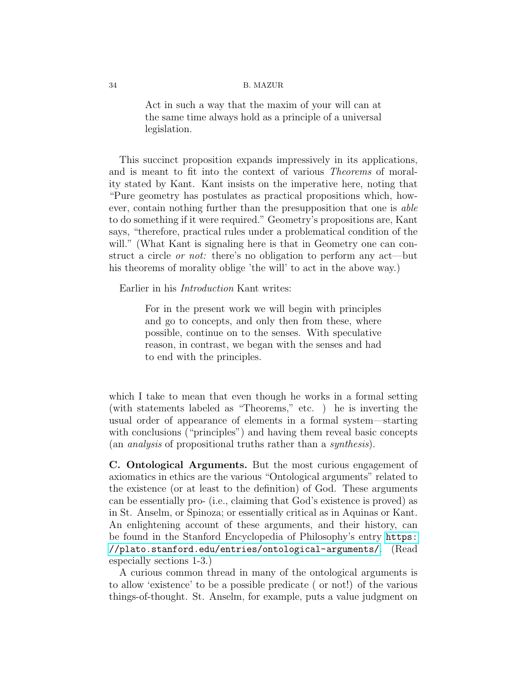Act in such a way that the maxim of your will can at the same time always hold as a principle of a universal legislation.

This succinct proposition expands impressively in its applications, and is meant to fit into the context of various Theorems of morality stated by Kant. Kant insists on the imperative here, noting that "Pure geometry has postulates as practical propositions which, however, contain nothing further than the presupposition that one is able to do something if it were required." Geometry's propositions are, Kant says, "therefore, practical rules under a problematical condition of the will." (What Kant is signaling here is that in Geometry one can construct a circle or not: there's no obligation to perform any act—but his theorems of morality oblige 'the will' to act in the above way.)

Earlier in his Introduction Kant writes:

For in the present work we will begin with principles and go to concepts, and only then from these, where possible, continue on to the senses. With speculative reason, in contrast, we began with the senses and had to end with the principles.

which I take to mean that even though he works in a formal setting (with statements labeled as "Theorems," etc. ) he is inverting the usual order of appearance of elements in a formal system—starting with conclusions ("principles") and having them reveal basic concepts (an analysis of propositional truths rather than a synthesis).

C. Ontological Arguments. But the most curious engagement of axiomatics in ethics are the various "Ontological arguments" related to the existence (or at least to the definition) of God. These arguments can be essentially pro- (i.e., claiming that God's existence is proved) as in St. Anselm, or Spinoza; or essentially critical as in Aquinas or Kant. An enlightening account of these arguments, and their history, can be found in the Stanford Encyclopedia of Philosophy's entry [https:](https://plato.stanford.edu/entries/ontological-arguments/) [//plato.stanford.edu/entries/ontological-arguments/](https://plato.stanford.edu/entries/ontological-arguments/). (Read especially sections 1-3.)

A curious common thread in many of the ontological arguments is to allow 'existence' to be a possible predicate ( or not!) of the various things-of-thought. St. Anselm, for example, puts a value judgment on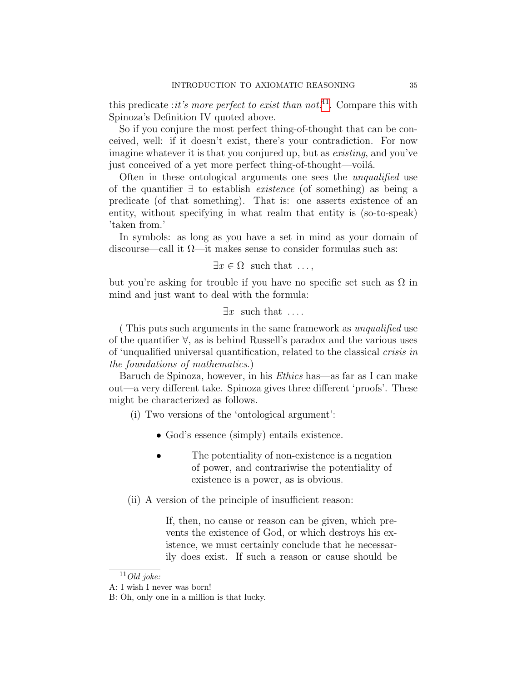this predicate :*it's more perfect to exist than not*<sup> $11$ </sup>. Compare this with Spinoza's Definition IV quoted above.

So if you conjure the most perfect thing-of-thought that can be conceived, well: if it doesn't exist, there's your contradiction. For now imagine whatever it is that you conjured up, but as existing, and you've just conceived of a yet more perfect thing-of-thought—voilá.

Often in these ontological arguments one sees the unqualified use of the quantifier ∃ to establish existence (of something) as being a predicate (of that something). That is: one asserts existence of an entity, without specifying in what realm that entity is (so-to-speak) 'taken from.'

In symbols: as long as you have a set in mind as your domain of discourse—call it  $\Omega$ —it makes sense to consider formulas such as:

 $\exists x \in \Omega$  such that ...,

but you're asking for trouble if you have no specific set such as  $\Omega$  in mind and just want to deal with the formula:

 $\exists x$  such that ....

( This puts such arguments in the same framework as unqualified use of the quantifier ∀, as is behind Russell's paradox and the various uses of 'unqualified universal quantification, related to the classical crisis in the foundations of mathematics.)

Baruch de Spinoza, however, in his Ethics has—as far as I can make out—a very different take. Spinoza gives three different 'proofs'. These might be characterized as follows.

(i) Two versions of the 'ontological argument':

- God's essence (simply) entails existence.
- The potentiality of non-existence is a negation of power, and contrariwise the potentiality of existence is a power, as is obvious.

(ii) A version of the principle of insufficient reason:

If, then, no cause or reason can be given, which prevents the existence of God, or which destroys his existence, we must certainly conclude that he necessarily does exist. If such a reason or cause should be

<span id="page-34-0"></span> $11$ Old joke:

A: I wish I never was born!

B: Oh, only one in a million is that lucky.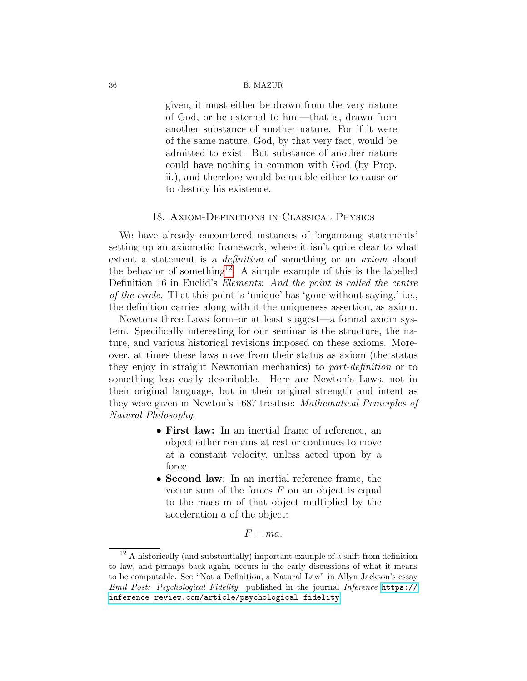given, it must either be drawn from the very nature of God, or be external to him—that is, drawn from another substance of another nature. For if it were of the same nature, God, by that very fact, would be admitted to exist. But substance of another nature could have nothing in common with God (by Prop. ii.), and therefore would be unable either to cause or to destroy his existence.

# 18. Axiom-Definitions in Classical Physics

<span id="page-35-0"></span>We have already encountered instances of 'organizing statements' setting up an axiomatic framework, where it isn't quite clear to what extent a statement is a definition of something or an axiom about the behavior of something<sup>[12](#page-35-1)</sup>. A simple example of this is the labelled Definition 16 in Euclid's Elements: And the point is called the centre of the circle. That this point is 'unique' has 'gone without saying,' i.e., the definition carries along with it the uniqueness assertion, as axiom.

Newtons three Laws form–or at least suggest—a formal axiom system. Specifically interesting for our seminar is the structure, the nature, and various historical revisions imposed on these axioms. Moreover, at times these laws move from their status as axiom (the status they enjoy in straight Newtonian mechanics) to part-definition or to something less easily describable. Here are Newton's Laws, not in their original language, but in their original strength and intent as they were given in Newton's 1687 treatise: Mathematical Principles of Natural Philosophy:

- First law: In an inertial frame of reference, an object either remains at rest or continues to move at a constant velocity, unless acted upon by a force.
- Second law: In an inertial reference frame, the vector sum of the forces  $F$  on an object is equal to the mass m of that object multiplied by the acceleration a of the object:

 $F = ma$ .

<span id="page-35-1"></span><sup>&</sup>lt;sup>12</sup> A historically (and substantially) important example of a shift from definition to law, and perhaps back again, occurs in the early discussions of what it means to be computable. See "Not a Definition, a Natural Law" in Allyn Jackson's essay Emil Post: Psychological Fidelity published in the journal Inference [https://](https://inference-review.com/article/psychological-fidelity) [inference-review.com/article/psychological-fidelity](https://inference-review.com/article/psychological-fidelity)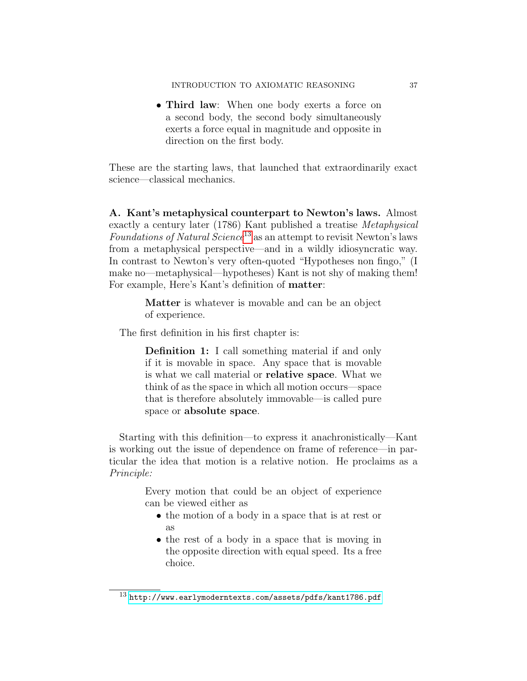• Third law: When one body exerts a force on a second body, the second body simultaneously exerts a force equal in magnitude and opposite in direction on the first body.

These are the starting laws, that launched that extraordinarily exact science—classical mechanics.

A. Kant's metaphysical counterpart to Newton's laws. Almost exactly a century later (1786) Kant published a treatise Metaphysical Foundations of Natural  $Science^{13}$  $Science^{13}$  $Science^{13}$  as an attempt to revisit Newton's laws from a metaphysical perspective—and in a wildly idiosyncratic way. In contrast to Newton's very often-quoted "Hypotheses non fingo," (I make no—metaphysical—hypotheses) Kant is not shy of making them! For example, Here's Kant's definition of matter:

> Matter is whatever is movable and can be an object of experience.

The first definition in his first chapter is:

Definition 1: I call something material if and only if it is movable in space. Any space that is movable is what we call material or relative space. What we think of as the space in which all motion occurs—space that is therefore absolutely immovable—is called pure space or absolute space.

Starting with this definition—to express it anachronistically—Kant is working out the issue of dependence on frame of reference—in particular the idea that motion is a relative notion. He proclaims as a Principle:

> Every motion that could be an object of experience can be viewed either as

- the motion of a body in a space that is at rest or as
- the rest of a body in a space that is moving in the opposite direction with equal speed. Its a free choice.

<span id="page-36-0"></span><sup>13</sup> <http://www.earlymoderntexts.com/assets/pdfs/kant1786.pdf>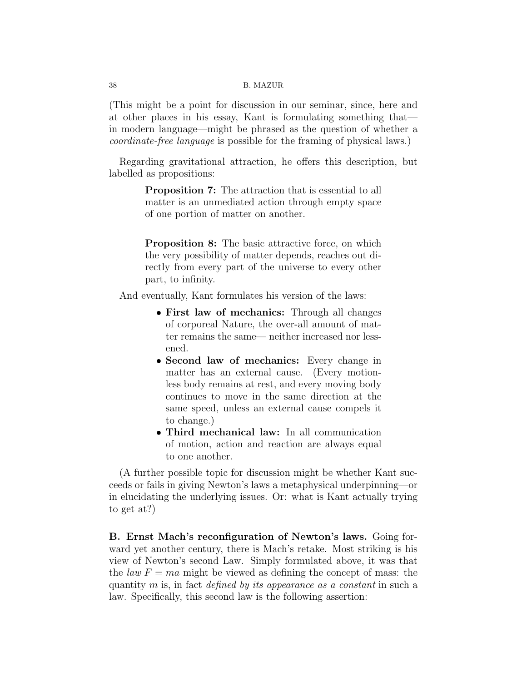(This might be a point for discussion in our seminar, since, here and at other places in his essay, Kant is formulating something that in modern language—might be phrased as the question of whether a coordinate-free language is possible for the framing of physical laws.)

Regarding gravitational attraction, he offers this description, but labelled as propositions:

> Proposition 7: The attraction that is essential to all matter is an unmediated action through empty space of one portion of matter on another.

> Proposition 8: The basic attractive force, on which the very possibility of matter depends, reaches out directly from every part of the universe to every other part, to infinity.

And eventually, Kant formulates his version of the laws:

- First law of mechanics: Through all changes of corporeal Nature, the over-all amount of matter remains the same— neither increased nor lessened.
- Second law of mechanics: Every change in matter has an external cause. (Every motionless body remains at rest, and every moving body continues to move in the same direction at the same speed, unless an external cause compels it to change.)
- Third mechanical law: In all communication of motion, action and reaction are always equal to one another.

(A further possible topic for discussion might be whether Kant succeeds or fails in giving Newton's laws a metaphysical underpinning—or in elucidating the underlying issues. Or: what is Kant actually trying to get at?)

B. Ernst Mach's reconfiguration of Newton's laws. Going forward yet another century, there is Mach's retake. Most striking is his view of Newton's second Law. Simply formulated above, it was that the *law*  $F = ma$  might be viewed as defining the concept of mass: the quantity m is, in fact defined by its appearance as a constant in such a law. Specifically, this second law is the following assertion: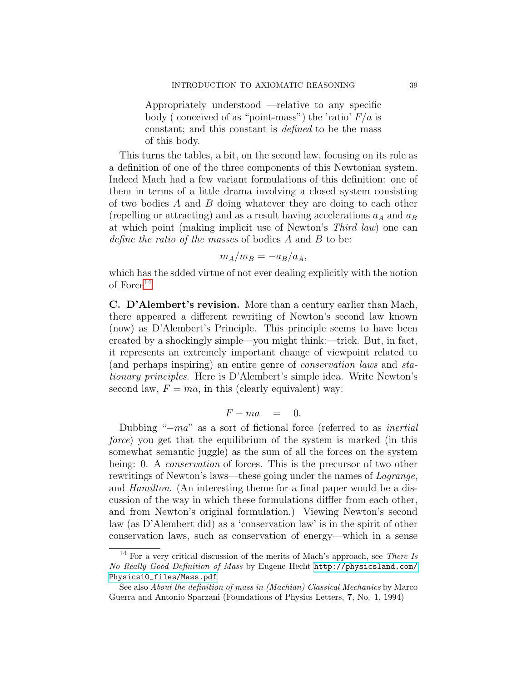Appropriately understood —relative to any specific body ( conceived of as "point-mass") the 'ratio'  $F/a$  is constant; and this constant is defined to be the mass of this body.

This turns the tables, a bit, on the second law, focusing on its role as a definition of one of the three components of this Newtonian system. Indeed Mach had a few variant formulations of this definition: one of them in terms of a little drama involving a closed system consisting of two bodies A and B doing whatever they are doing to each other (repelling or attracting) and as a result having accelerations  $a_A$  and  $a_B$ at which point (making implicit use of Newton's Third law) one can define the ratio of the masses of bodies A and B to be:

$$
m_A/m_B = -a_B/a_A,
$$

which has the sdded virtue of not ever dealing explicitly with the notion of Force[14](#page-38-0)

C. D'Alembert's revision. More than a century earlier than Mach, there appeared a different rewriting of Newton's second law known (now) as D'Alembert's Principle. This principle seems to have been created by a shockingly simple—you might think:—trick. But, in fact, it represents an extremely important change of viewpoint related to (and perhaps inspiring) an entire genre of conservation laws and stationary principles. Here is D'Alembert's simple idea. Write Newton's second law,  $F = ma$ , in this (clearly equivalent) way:

$$
F-ma = 0.
$$

Dubbing "−ma" as a sort of fictional force (referred to as inertial force) you get that the equilibrium of the system is marked (in this somewhat semantic juggle) as the sum of all the forces on the system being: 0. A *conservation* of forces. This is the precursor of two other rewritings of Newton's laws—these going under the names of Lagrange, and *Hamilton*. (An interesting theme for a final paper would be a discussion of the way in which these formulations difffer from each other, and from Newton's original formulation.) Viewing Newton's second law (as D'Alembert did) as a 'conservation law' is in the spirit of other conservation laws, such as conservation of energy—which in a sense

<span id="page-38-0"></span> $14$  For a very critical discussion of the merits of Mach's approach, see There Is No Really Good Definition of Mass by Eugene Hecht [http://physicsland.com/](http://physicsland.com/Physics10_files/Mass.pdf) [Physics10\\_files/Mass.pdf](http://physicsland.com/Physics10_files/Mass.pdf)

See also About the definition of mass in (Machian) Classical Mechanics by Marco Guerra and Antonio Sparzani (Foundations of Physics Letters, 7, No. 1, 1994)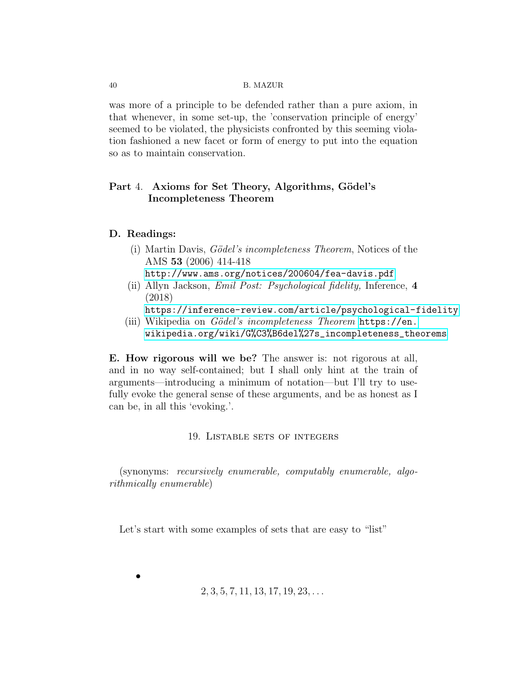was more of a principle to be defended rather than a pure axiom, in that whenever, in some set-up, the 'conservation principle of energy' seemed to be violated, the physicists confronted by this seeming violation fashioned a new facet or form of energy to put into the equation so as to maintain conservation.

# <span id="page-39-0"></span>Part 4. Axioms for Set Theory, Algorithms, Gödel's Incompleteness Theorem

## D. Readings:

•

- (i) Martin Davis, *Gödel's incompleteness Theorem*, Notices of the AMS 53 (2006) 414-418 <http://www.ams.org/notices/200604/fea-davis.pdf>
- (ii) Allyn Jackson, Emil Post: Psychological fidelity, Inference, 4 (2018)

<https://inference-review.com/article/psychological-fidelity>

(iii) Wikipedia on  $Gödel's$  incompleteness Theorem  $https://en.$ [wikipedia.org/wiki/G%C3%B6del%27s\\_incompleteness\\_theorems](https://en.wikipedia.org/wiki/G%C3%B6del%27s_incompleteness_theorems)

E. How rigorous will we be? The answer is: not rigorous at all, and in no way self-contained; but I shall only hint at the train of arguments—introducing a minimum of notation—but I'll try to usefully evoke the general sense of these arguments, and be as honest as I can be, in all this 'evoking.'.

## 19. Listable sets of integers

<span id="page-39-1"></span>(synonyms: recursively enumerable, computably enumerable, algorithmically enumerable)

Let's start with some examples of sets that are easy to "list"

 $2, 3, 5, 7, 11, 13, 17, 19, 23, \ldots$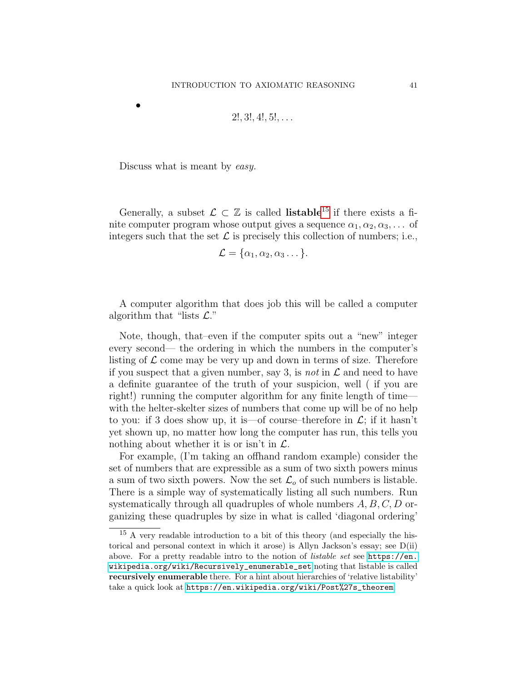•

$$
2!, 3!, 4!, 5!, \ldots
$$

Discuss what is meant by *easy*.

Generally, a subset  $\mathcal{L} \subset \mathbb{Z}$  is called **listable**<sup>[15](#page-40-0)</sup> if there exists a finite computer program whose output gives a sequence  $\alpha_1, \alpha_2, \alpha_3, \ldots$  of integers such that the set  $\mathcal L$  is precisely this collection of numbers; i.e.,

$$
\mathcal{L} = \{\alpha_1, \alpha_2, \alpha_3 \dots \}.
$$

A computer algorithm that does job this will be called a computer algorithm that "lists  $\mathcal{L}$ ."

Note, though, that–even if the computer spits out a "new" integer every second— the ordering in which the numbers in the computer's listing of  $\mathcal L$  come may be very up and down in terms of size. Therefore if you suspect that a given number, say 3, is *not* in  $\mathcal L$  and need to have a definite guarantee of the truth of your suspicion, well ( if you are right!) running the computer algorithm for any finite length of time with the helter-skelter sizes of numbers that come up will be of no help to you: if 3 does show up, it is—of course–therefore in  $\mathcal{L}$ ; if it hasn't yet shown up, no matter how long the computer has run, this tells you nothing about whether it is or isn't in  $\mathcal{L}$ .

For example, (I'm taking an offhand random example) consider the set of numbers that are expressible as a sum of two sixth powers minus a sum of two sixth powers. Now the set  $\mathcal{L}_{o}$  of such numbers is listable. There is a simple way of systematically listing all such numbers. Run systematically through all quadruples of whole numbers  $A, B, C, D$  organizing these quadruples by size in what is called 'diagonal ordering'

<span id="page-40-0"></span> $15$  A very readable introduction to a bit of this theory (and especially the historical and personal context in which it arose) is Allyn Jackson's essay; see D(ii) above. For a pretty readable intro to the notion of *listable set* see **[https://en.](https://en.wikipedia.org/wiki/Recursively_enumerable_set)** [wikipedia.org/wiki/Recursively\\_enumerable\\_set](https://en.wikipedia.org/wiki/Recursively_enumerable_set) noting that listable is called recursively enumerable there. For a hint about hierarchies of 'relative listability' take a quick look at [https://en.wikipedia.org/wiki/Post%27s\\_theorem](https://en.wikipedia.org/wiki/Post%27s_theorem).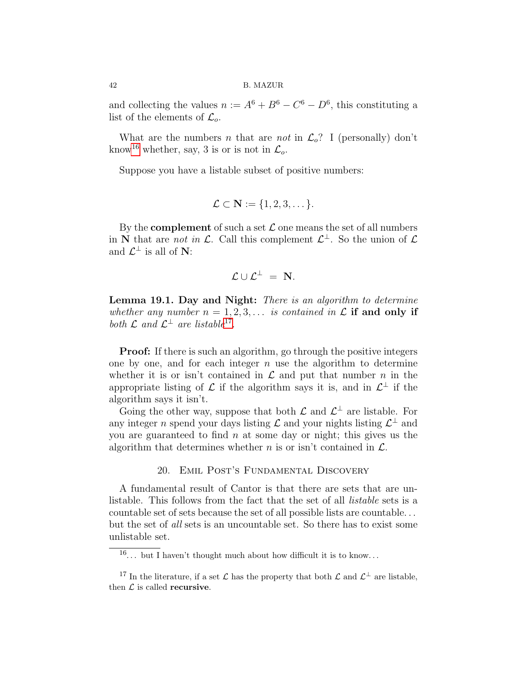and collecting the values  $n := A^6 + B^6 - C^6 - D^6$ , this constituting a list of the elements of  $\mathcal{L}_o$ .

What are the numbers n that are not in  $\mathcal{L}_{o}$ ? I (personally) don't know<sup>[16](#page-41-1)</sup> whether, say, 3 is or is not in  $\mathcal{L}_{o}$ .

Suppose you have a listable subset of positive numbers:

$$
\mathcal{L} \subset \mathbf{N} := \{1, 2, 3, \dots\}.
$$

By the **complement** of such a set  $\mathcal{L}$  one means the set of all numbers in N that are *not in*  $\mathcal{L}$ . Call this complement  $\mathcal{L}^{\perp}$ . So the union of  $\mathcal{L}$ and  $\mathcal{L}^{\perp}$  is all of **N**:

$$
\mathcal{L}\cup\mathcal{L}^{\perp}~=~\mathbf{N}.
$$

<span id="page-41-3"></span>Lemma 19.1. Day and Night: There is an algorithm to determine whether any number  $n = 1, 2, 3, \ldots$  is contained in  $\mathcal L$  if and only if both  $\mathcal L$  and  $\mathcal L^{\perp}$  are listable<sup>[17](#page-41-2)</sup>.

Proof: If there is such an algorithm, go through the positive integers one by one, and for each integer  $n$  use the algorithm to determine whether it is or isn't contained in  $\mathcal L$  and put that number n in the appropriate listing of  $\mathcal L$  if the algorithm says it is, and in  $\mathcal L^{\perp}$  if the algorithm says it isn't.

Going the other way, suppose that both  $\mathcal L$  and  $\mathcal L^{\perp}$  are listable. For any integer n spend your days listing  $\mathcal L$  and your nights listing  $\mathcal L^{\perp}$  and you are guaranteed to find  $n$  at some day or night; this gives us the algorithm that determines whether *n* is or isn't contained in  $\mathcal{L}$ .

20. Emil Post's Fundamental Discovery

<span id="page-41-0"></span>A fundamental result of Cantor is that there are sets that are unlistable. This follows from the fact that the set of all listable sets is a countable set of sets because the set of all possible lists are countable. . . but the set of all sets is an uncountable set. So there has to exist some unlistable set.

<span id="page-41-1"></span> $16...$  but I haven't thought much about how difficult it is to know...

<span id="page-41-2"></span><sup>&</sup>lt;sup>17</sup> In the literature, if a set  $\mathcal L$  has the property that both  $\mathcal L$  and  $\mathcal L^{\perp}$  are listable, then  $\mathcal L$  is called **recursive**.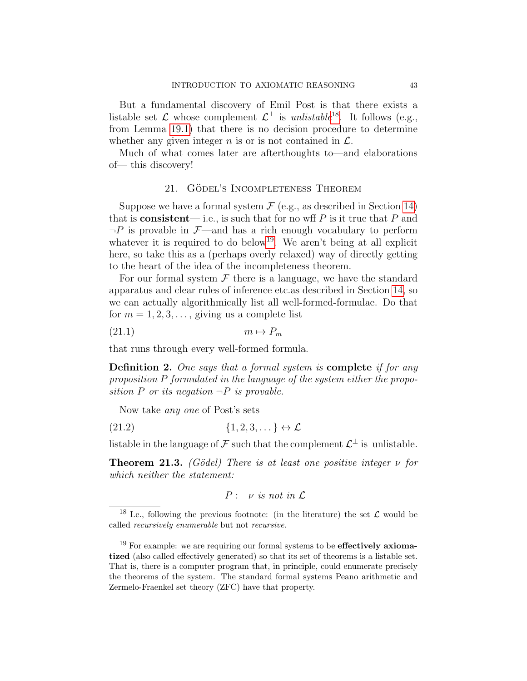But a fundamental discovery of Emil Post is that there exists a listable set  $\mathcal L$  whose complement  $\mathcal L^{\perp}$  is unlistable<sup>[18](#page-42-1)</sup>. It follows (e.g., from Lemma [19.1\)](#page-41-3) that there is no decision procedure to determine whether any given integer  $n$  is or is not contained in  $\mathcal{L}$ .

Much of what comes later are afterthoughts to—and elaborations of— this discovery!

#### 21. GÖDEL'S INCOMPLETENESS THEOREM

<span id="page-42-0"></span>Suppose we have a formal system  $\mathcal F$  (e.g., as described in Section [14\)](#page-26-0) that is **consistent**— i.e., is such that for no wff  $P$  is it true that  $P$  and  $\neg P$  is provable in  $\neg P$  and has a rich enough vocabulary to perform whatever it is required to do below<sup>[19](#page-42-2)</sup>. We aren't being at all explicit here, so take this as a (perhaps overly relaxed) way of directly getting to the heart of the idea of the incompleteness theorem.

For our formal system  $\mathcal F$  there is a language, we have the standard apparatus and clear rules of inference etc.as described in Section [14,](#page-26-0) so we can actually algorithmically list all well-formed-formulae. Do that for  $m = 1, 2, 3, \ldots$ , giving us a complete list

<span id="page-42-4"></span>
$$
(21.1) \t\t\t m \mapsto P_m
$$

that runs through every well-formed formula.

Definition 2. One says that a formal system is complete if for any proposition P formulated in the language of the system either the proposition P or its negation  $\neg P$  is provable.

Now take any one of Post's sets

$$
(21.2) \qquad \{1, 2, 3, \dots\} \leftrightarrow \mathcal{L}
$$

listable in the language of  $\mathcal F$  such that the complement  $\mathcal L^{\perp}$  is unlistable.

**Theorem 21.3.** (Gödel) There is at least one positive integer  $\nu$  for which neither the statement:

<span id="page-42-3"></span>
$$
P: \ \nu \ \text{is not in} \ \mathcal{L}
$$

<span id="page-42-1"></span><sup>&</sup>lt;sup>18</sup> I.e., following the previous footnote: (in the literature) the set  $\mathcal L$  would be called recursively enumerable but not recursive.

<span id="page-42-2"></span> $19$  For example: we are requiring our formal systems to be effectively axiomatized (also called effectively generated) so that its set of theorems is a listable set. That is, there is a computer program that, in principle, could enumerate precisely the theorems of the system. The standard formal systems Peano arithmetic and Zermelo-Fraenkel set theory (ZFC) have that property.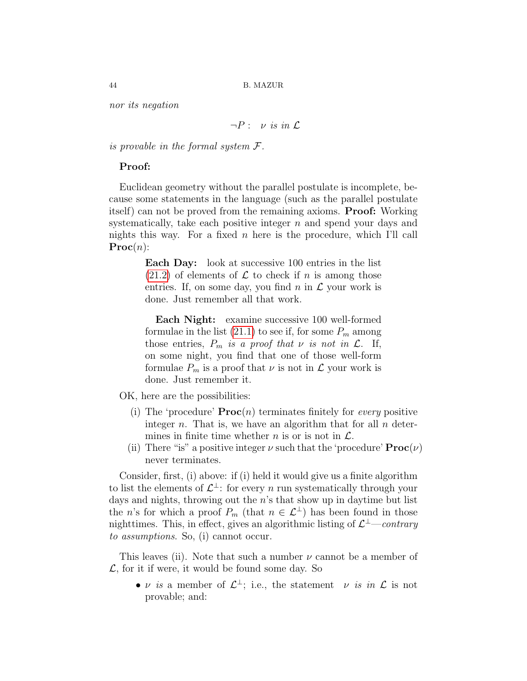nor its negation

 $\neg P$ :  $\nu$  is in  $\mathcal L$ 

is provable in the formal system F.

#### Proof:

Euclidean geometry without the parallel postulate is incomplete, because some statements in the language (such as the parallel postulate itself) can not be proved from the remaining axioms. Proof: Working systematically, take each positive integer  $n$  and spend your days and nights this way. For a fixed  $n$  here is the procedure, which I'll call  $$ 

> Each Day: look at successive 100 entries in the list  $(21.2)$  of elements of  $\mathcal L$  to check if n is among those entries. If, on some day, you find n in  $\mathcal L$  your work is done. Just remember all that work.

> Each Night: examine successive 100 well-formed formulae in the list [\(21.1\)](#page-42-4) to see if, for some  $P_m$  among those entries,  $P_m$  is a proof that  $\nu$  is not in  $\mathcal{L}$ . If, on some night, you find that one of those well-form formulae  $P_m$  is a proof that  $\nu$  is not in  $\mathcal L$  your work is done. Just remember it.

OK, here are the possibilities:

- (i) The 'procedure'  $\textbf{Proc}(n)$  terminates finitely for *every* positive integer n. That is, we have an algorithm that for all  $n$  determines in finite time whether *n* is or is not in  $\mathcal{L}$ .
- (ii) There "is" a positive integer  $\nu$  such that the 'procedure'  $\text{Proc}(\nu)$ never terminates.

Consider, first, (i) above: if (i) held it would give us a finite algorithm to list the elements of  $\mathcal{L}^{\perp}$ : for every n run systematically through your days and nights, throwing out the  $n$ 's that show up in daytime but list the n's for which a proof  $P_m$  (that  $n \in \mathcal{L}^{\perp}$ ) has been found in those nighttimes. This, in effect, gives an algorithmic listing of  $\mathcal{L}^{\perp}$ —contrary to assumptions. So, (i) cannot occur.

This leaves (ii). Note that such a number  $\nu$  cannot be a member of  $\mathcal{L}$ , for it if were, it would be found some day. So

• *ν* is a member of  $\mathcal{L}^{\perp}$ ; i.e., the statement *ν* is in  $\mathcal{L}$  is not provable; and: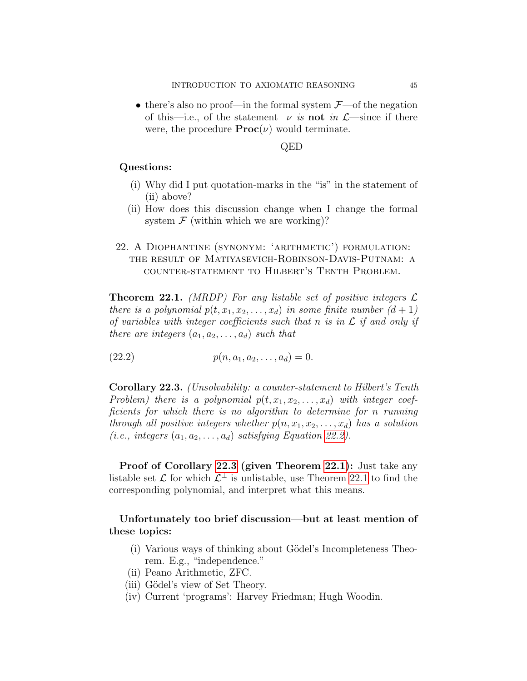• there's also no proof—in the formal system  $\mathcal{F}$ —of the negation of this—i.e., of the statement  $\nu$  is **not** in  $\mathcal{L}$ —since if there were, the procedure  $\text{Proc}(\nu)$  would terminate.

### QED

## Questions:

- (i) Why did I put quotation-marks in the "is" in the statement of (ii) above?
- (ii) How does this discussion change when I change the formal system  $\mathcal F$  (within which we are working)?
- <span id="page-44-0"></span>22. A Diophantine (synonym: 'arithmetic') formulation: the result of Matiyasevich-Robinson-Davis-Putnam: a counter-statement to Hilbert's Tenth Problem.

<span id="page-44-3"></span>**Theorem 22.1.** (MRDP) For any listable set of positive integers  $\mathcal{L}$ there is a polynomial  $p(t, x_1, x_2, \ldots, x_d)$  in some finite number  $(d + 1)$ of variables with integer coefficients such that n is in  $\mathcal L$  if and only if there are integers  $(a_1, a_2, \ldots, a_d)$  such that

<span id="page-44-1"></span>(22.2) 
$$
p(n, a_1, a_2, \ldots, a_d) = 0.
$$

<span id="page-44-2"></span>Corollary 22.3. (Unsolvability: a counter-statement to Hilbert's Tenth Problem) there is a polynomial  $p(t, x_1, x_2, \ldots, x_d)$  with integer coefficients for which there is no algorithm to determine for n running through all positive integers whether  $p(n, x_1, x_2, \ldots, x_d)$  has a solution (i.e., integers  $(a_1, a_2, \ldots, a_d)$  satisfying Equation [22.2\)](#page-44-1).

Proof of Corollary [22.3](#page-44-2) (given Theorem [22.1\)](#page-44-3): Just take any listable set  $\mathcal L$  for which  $\mathcal L^{\perp}$  is unlistable, use Theorem [22.1](#page-44-3) to find the corresponding polynomial, and interpret what this means.

# Unfortunately too brief discussion—but at least mention of these topics:

- (i) Various ways of thinking about Gödel's Incompleteness Theorem. E.g., "independence."
- (ii) Peano Arithmetic, ZFC.
- (iii) Gödel's view of Set Theory.
- (iv) Current 'programs': Harvey Friedman; Hugh Woodin.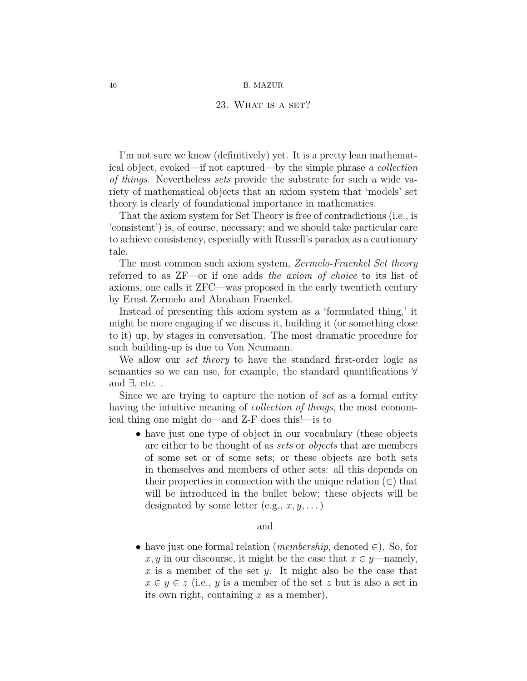#### 23. WHAT IS A SET?

<span id="page-45-0"></span>I'm not sure we know (definitively) yet. It is a pretty lean mathematical object, evoked—if not captured—by the simple phrase a collection of things. Nevertheless sets provide the substrate for such a wide variety of mathematical objects that an axiom system that 'models' set theory is clearly of foundational importance in mathematics.

That the axiom system for Set Theory is free of contradictions (i.e., is 'consistent') is, of course, necessary; and we should take particular care to achieve consistency, especially with Russell's paradox as a cautionary tale.

The most common such axiom system, Zermelo-Fraenkel Set theory referred to as ZF—or if one adds the axiom of choice to its list of axioms, one calls it ZFC—was proposed in the early twentieth century by Ernst Zermelo and Abraham Fraenkel.

Instead of presenting this axiom system as a 'formulated thing,' it might be more engaging if we discuss it, building it (or something close to it) up, by stages in conversation. The most dramatic procedure for such building-up is due to Von Neumann.

We allow our *set theory* to have the standard first-order logic as semantics so we can use, for example, the standard quantifications ∀ and  $\exists$ , etc...

Since we are trying to capture the notion of set as a formal entity having the intuitive meaning of *collection of things*, the most economical thing one might do—and Z-F does this!—is to

• have just one type of object in our vocabulary (these objects are either to be thought of as *sets* or *objects* that are members of some set or of some sets; or these objects are both sets in themselves and members of other sets: all this depends on their properties in connection with the unique relation  $(\in)$  that will be introduced in the bullet below; these objects will be designated by some letter (e.g.,  $x, y, \dots$ )

and

• have just one formal relation (*membership*, denoted  $\in$ ). So, for x, y in our discourse, it might be the case that  $x \in y$ —namely, x is a member of the set y. It might also be the case that  $x \in y \in z$  (i.e., y is a member of the set z but is also a set in its own right, containing  $x$  as a member).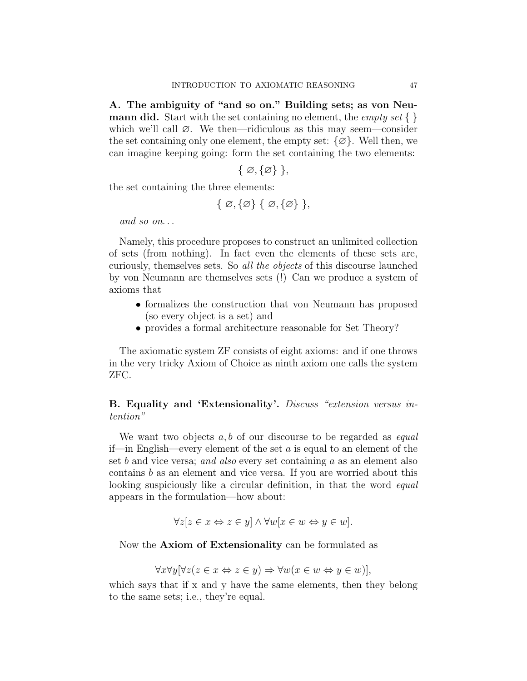A. The ambiguity of "and so on." Building sets; as von Neu**mann did.** Start with the set containing no element, the *empty set*  $\{\}$ which we'll call  $\varnothing$ . We then—ridiculous as this may seem—consider the set containing only one element, the empty set:  $\{\emptyset\}$ . Well then, we can imagine keeping going: form the set containing the two elements:

$$
\{ \varnothing, \{\varnothing\} \},
$$

the set containing the three elements:

$$
\{ \varnothing, \{\varnothing\} \{ \varnothing, \{\varnothing\} \},
$$

and so on. . .

Namely, this procedure proposes to construct an unlimited collection of sets (from nothing). In fact even the elements of these sets are, curiously, themselves sets. So all the objects of this discourse launched by von Neumann are themselves sets (!) Can we produce a system of axioms that

- formalizes the construction that von Neumann has proposed (so every object is a set) and
- provides a formal architecture reasonable for Set Theory?

The axiomatic system ZF consists of eight axioms: and if one throws in the very tricky Axiom of Choice as ninth axiom one calls the system ZFC.

B. Equality and 'Extensionality'. Discuss "extension versus intention"

We want two objects  $a, b$  of our discourse to be regarded as *equal* if—in English—every element of the set  $\alpha$  is equal to an element of the set b and vice versa; and also every set containing a as an element also contains  $b$  as an element and vice versa. If you are worried about this looking suspiciously like a circular definition, in that the word *equal* appears in the formulation—how about:

$$
\forall z[z \in x \Leftrightarrow z \in y] \land \forall w[x \in w \Leftrightarrow y \in w].
$$

Now the Axiom of Extensionality can be formulated as

$$
\forall x \forall y [\forall z (z \in x \Leftrightarrow z \in y) \Rightarrow \forall w (x \in w \Leftrightarrow y \in w)],
$$

which says that if x and y have the same elements, then they belong to the same sets; i.e., they're equal.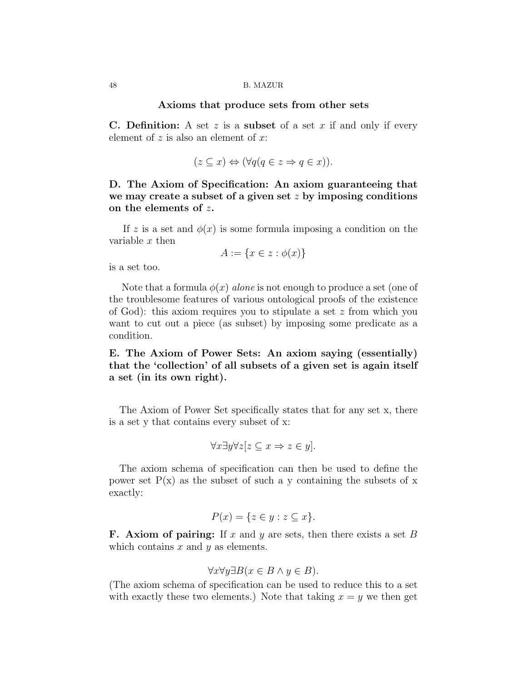#### Axioms that produce sets from other sets

**C.** Definition: A set z is a subset of a set x if and only if every element of  $z$  is also an element of  $x$ :

$$
(z \subseteq x) \Leftrightarrow (\forall q (q \in z \Rightarrow q \in x)).
$$

# D. The Axiom of Specification: An axiom guaranteeing that we may create a subset of a given set  $z$  by imposing conditions on the elements of z.

If z is a set and  $\phi(x)$  is some formula imposing a condition on the variable  $x$  then

$$
A := \{ x \in z : \phi(x) \}
$$

is a set too.

Note that a formula  $\phi(x)$  alone is not enough to produce a set (one of the troublesome features of various ontological proofs of the existence of God): this axiom requires you to stipulate a set z from which you want to cut out a piece (as subset) by imposing some predicate as a condition.

E. The Axiom of Power Sets: An axiom saying (essentially) that the 'collection' of all subsets of a given set is again itself a set (in its own right).

The Axiom of Power Set specifically states that for any set x, there is a set y that contains every subset of x:

$$
\forall x \exists y \forall z [z \subseteq x \Rightarrow z \in y].
$$

The axiom schema of specification can then be used to define the power set  $P(x)$  as the subset of such a y containing the subsets of x exactly:

$$
P(x) = \{ z \in y : z \subseteq x \}.
$$

**F.** Axiom of pairing: If x and y are sets, then there exists a set B which contains  $x$  and  $y$  as elements.

$$
\forall x \forall y \exists B (x \in B \land y \in B).
$$

(The axiom schema of specification can be used to reduce this to a set with exactly these two elements.) Note that taking  $x = y$  we then get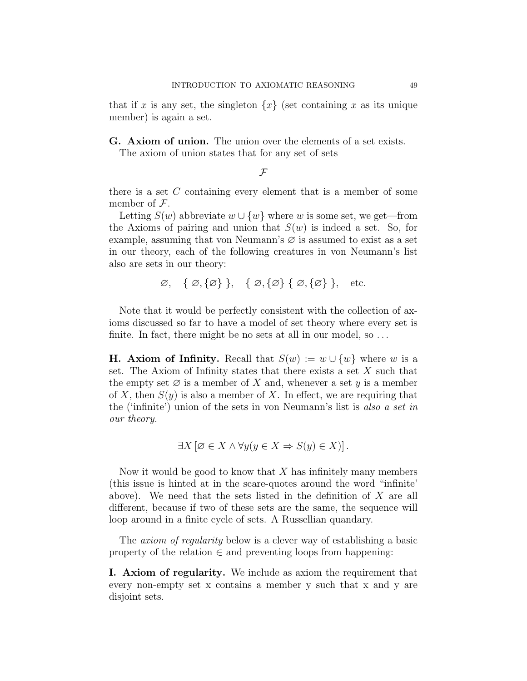that if x is any set, the singleton  $\{x\}$  (set containing x as its unique member) is again a set.

G. Axiom of union. The union over the elements of a set exists. The axiom of union states that for any set of sets

 $\mathcal F$ 

there is a set C containing every element that is a member of some member of  $\mathcal{F}$ .

Letting  $S(w)$  abbreviate  $w \cup \{w\}$  where w is some set, we get—from the Axioms of pairing and union that  $S(w)$  is indeed a set. So, for example, assuming that von Neumann's  $\varnothing$  is assumed to exist as a set in our theory, each of the following creatures in von Neumann's list also are sets in our theory:

∅, { ∅, {∅} }, { ∅, {∅} { ∅, {∅} }, etc.

Note that it would be perfectly consistent with the collection of axioms discussed so far to have a model of set theory where every set is finite. In fact, there might be no sets at all in our model, so  $\dots$ 

**H.** Axiom of Infinity. Recall that  $S(w) := w \cup \{w\}$  where w is a set. The Axiom of Infinity states that there exists a set  $X$  such that the empty set  $\emptyset$  is a member of X and, whenever a set y is a member of X, then  $S(y)$  is also a member of X. In effect, we are requiring that the ('infinite') union of the sets in von Neumann's list is also a set in our theory.

$$
\exists X \left[ \emptyset \in X \land \forall y (y \in X \Rightarrow S(y) \in X) \right].
$$

Now it would be good to know that  $X$  has infinitely many members (this issue is hinted at in the scare-quotes around the word "infinite' above). We need that the sets listed in the definition of  $X$  are all different, because if two of these sets are the same, the sequence will loop around in a finite cycle of sets. A Russellian quandary.

The *axiom of regularity* below is a clever way of establishing a basic property of the relation  $\in$  and preventing loops from happening:

I. Axiom of regularity. We include as axiom the requirement that every non-empty set x contains a member y such that x and y are disjoint sets.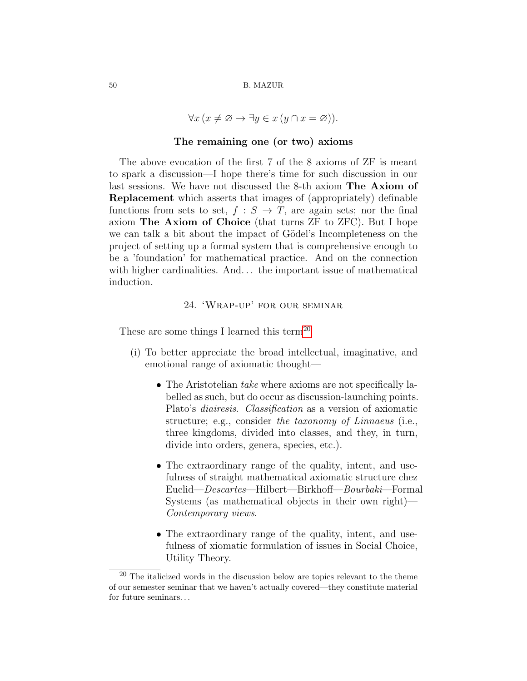$$
\forall x \, (x \neq \emptyset \to \exists y \in x \, (y \cap x = \emptyset)).
$$

# The remaining one (or two) axioms

The above evocation of the first 7 of the 8 axioms of ZF is meant to spark a discussion—I hope there's time for such discussion in our last sessions. We have not discussed the 8-th axiom The Axiom of Replacement which asserts that images of (appropriately) definable functions from sets to set,  $f : S \to T$ , are again sets; nor the final axiom The Axiom of Choice (that turns ZF to ZFC). But I hope we can talk a bit about the impact of Gödel's Incompleteness on the project of setting up a formal system that is comprehensive enough to be a 'foundation' for mathematical practice. And on the connection with higher cardinalities. And. . . the important issue of mathematical induction.

# 24. 'Wrap-up' for our seminar

<span id="page-49-0"></span>These are some things I learned this term<sup>[20](#page-49-1)</sup>

- (i) To better appreciate the broad intellectual, imaginative, and emotional range of axiomatic thought—
	- The Aristotelian *take* where axioms are not specifically labelled as such, but do occur as discussion-launching points. Plato's diairesis. Classification as a version of axiomatic structure; e.g., consider the taxonomy of Linnaeus (i.e., three kingdoms, divided into classes, and they, in turn, divide into orders, genera, species, etc.).
	- The extraordinary range of the quality, intent, and usefulness of straight mathematical axiomatic structure chez Euclid—Descartes—Hilbert—Birkhoff—Bourbaki—Formal Systems (as mathematical objects in their own right)— Contemporary views.
	- The extraordinary range of the quality, intent, and usefulness of xiomatic formulation of issues in Social Choice, Utility Theory.

<span id="page-49-1"></span> $^{\rm 20}$  The italicized words in the discussion below are topics relevant to the theme of our semester seminar that we haven't actually covered—they constitute material for future seminars. . .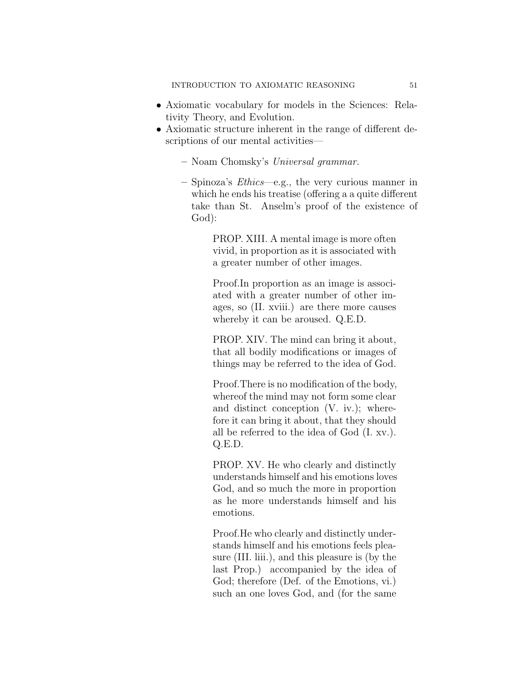- Axiomatic vocabulary for models in the Sciences: Relativity Theory, and Evolution.
- Axiomatic structure inherent in the range of different descriptions of our mental activities—
	- Noam Chomsky's Universal grammar.
	- Spinoza's Ethics—e.g., the very curious manner in which he ends his treatise (offering a a quite different take than St. Anselm's proof of the existence of God):

PROP. XIII. A mental image is more often vivid, in proportion as it is associated with a greater number of other images.

Proof.In proportion as an image is associated with a greater number of other images, so (II. xviii.) are there more causes whereby it can be aroused. Q.E.D.

PROP. XIV. The mind can bring it about, that all bodily modifications or images of things may be referred to the idea of God.

Proof.There is no modification of the body, whereof the mind may not form some clear and distinct conception (V. iv.); wherefore it can bring it about, that they should all be referred to the idea of God (I. xv.). Q.E.D.

PROP. XV. He who clearly and distinctly understands himself and his emotions loves God, and so much the more in proportion as he more understands himself and his emotions.

Proof.He who clearly and distinctly understands himself and his emotions feels pleasure (III. liii.), and this pleasure is (by the last Prop.) accompanied by the idea of God; therefore (Def. of the Emotions, vi.) such an one loves God, and (for the same